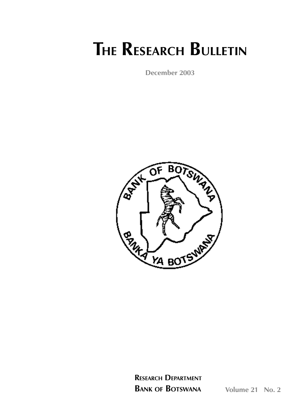# **THE RESEARCH BULLETIN**

**December 2003**



**RESEARCH DEPARTMENT BANK OF BOTSWANA Volume 21 No. 2**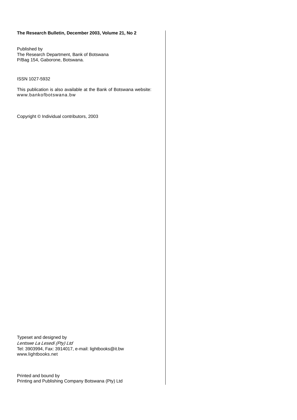### **The Research Bulletin, December 2003, Volume 21, No 2**

Published by The Research Department, Bank of Botswana P/Bag 154, Gaborone, Botswana.

ISSN 1027-5932

This publication is also available at the Bank of Botswana website: www.bankofbotswana.bw

Copyright © Individual contributors, 2003

Typeset and designed by *Lentswe La Lesedi (Pty) Ltd* Tel: 3903994, Fax: 3914017, e-mail: lightbooks@it.bw www.lightbooks.net

Printed and bound by Printing and Publishing Company Botswana (Pty) Ltd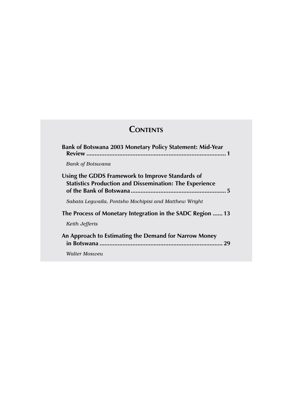# **CONTENTS**

| Bank of Botswana 2003 Monetary Policy Statement: Mid-Year                                                          |
|--------------------------------------------------------------------------------------------------------------------|
| Bank of Botswana                                                                                                   |
| Using the GDDS Framework to Improve Standards of<br><b>Statistics Production and Dissemination: The Experience</b> |
| Sabata Legwaila, Pontsho Mochipisi and Matthew Wright                                                              |
| The Process of Monetary Integration in the SADC Region  13                                                         |
| Keith Jefferis                                                                                                     |
| An Approach to Estimating the Demand for Narrow Money<br>29                                                        |
| Walter Mosweu                                                                                                      |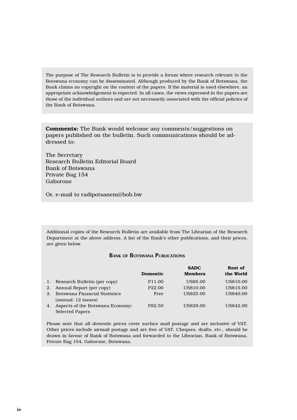The purpose of The Research Bulletin is to provide a forum where research relevant to the Botswana economy can be disseminated. Although produced by the Bank of Botswana, the Bank claims no copyright on the content of the papers. If the material is used elsewhere, an appropriate acknowledgement is expected. In all cases, the views expressed in the papers are those of the individual authors and are not necessarily associated with the official policies of the Bank of Botswana.

**Comments:** The Bank would welcome any comments/suggestions on papers published on the bulletin. Such communications should be addressed to:

The Secretary Research Bulletin Editorial Board Bank of Botswana Private Bag 154 Gaborone

Or, e-mail to radipotsanem@bob.bw

Additional copies of the Research Bulletin are available from The Librarian of the Research Department at the above address. A list of the Bank's other publications, and their prices, are given below.

# **BANK OF BOTSWANA PUBLICATIONS**

|    |                                      | <b>Domestic</b>    | <b>SADC</b><br><b>Members</b> | <b>Rest of</b><br>the World |
|----|--------------------------------------|--------------------|-------------------------------|-----------------------------|
| 1. | Research Bulletin (per copy)         | P11.00             | <b>US\$5.00</b>               | US\$10.00                   |
| 2. | Annual Report (per copy)             | P <sub>22.00</sub> | US\$10.00                     | US\$15.00                   |
| 3. | <b>Botswana Financial Statistics</b> | Free               | US\$25.00                     | US\$40.00                   |
|    | (annual: 12 issues)                  |                    |                               |                             |
| 4. | Aspects of the Botswana Economy:     | P82.50             | US\$29.00                     | US\$42.00                   |
|    | <b>Selected Papers</b>               |                    |                               |                             |

Please note that all *domestic* prices cover surface mail postage and are inclusive of VAT. Other prices include airmail postage and are free of VAT. Cheques, drafts, etc., should be drawn in favour of Bank of Botswana and forwarded to the Librarian, Bank of Botswana, Private Bag 154, Gaborone, Botswana.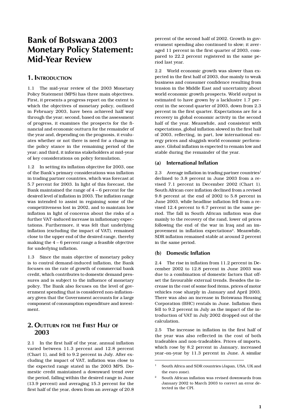# **Bank of Botswana 2003 Monetary Policy Statement: Mid-Year Review**

# **1. INTRODUCTION**

1.1 The mid-year review of the 2003 Monetary Policy Statement (MPS) has three main objectives. First, it presents a progress report on the extent to which the objectives of monetary policy, outlined in February 2003, have been achieved half way through the year; second, based on the assessment of progress, it examines the prospects for the financial and economic outturn for the remainder of the year and, depending on the prognosis, it evaluates whether or not there is need for a change in the policy stance in the remaining period of the year; and third, it informs stakeholders at mid-year of key considerations on policy formulation.

1.2 In setting its inflation objective for 2003, one of the Bank's primary considerations was inflation in trading partner countries, which was forecast at 5.7 percent for 2003. In light of this forecast, the Bank maintained the range of 4 – 6 percent for the desired level of inflation in 2003. The inflation range was intended to assist in regaining some of the competitiveness lost in 2002, and to maintain low inflation in light of concerns about the risks of a further VAT-induced increase in inflationary expectations. Furthermore, it was felt that underlying inflation (excluding the impact of VAT), remained close to the upper end of the desired range, thereby making the 4 – 6 percent range a feasible objective for underlying inflation.

1.3 Since the main objective of monetary policy is to control demand-induced inflation, the Bank focuses on the rate of growth of commercial bank credit, which contributes to domestic demand pressures and is subject to the influence of monetary policy. The Bank also focuses on the level of government spending that is considered non-inflationary given that the Government accounts for a large component of consumption expenditure and investment.

# **2. OUTTURN FOR THE FIRST HALF OF 2003**

2.1 In the first half of the year, annual inflation varied between 11.3 percent and 12.8 percent (Chart 1), and fell to 9.2 percent in July. After excluding the impact of VAT, inflation was close to the expected range stated in the 2003 MPS. Domestic credit maintained a downward trend over the period, falling within the desired range in June (13.9 percent) and averaging 15.3 percent for the first half of the year, down from an average of 20.8

percent of the second half of 2002. Growth in government spending also continued to slow; it averaged 11 percent in the first quarter of 2003, compared to 22.2 percent registered in the same period last year.

2.2 World economic growth was slower than expected in the first half of 2003, due mainly to weak business and consumer confidence resulting from tension in the Middle East and uncertainty about world economic growth prospects. World output is estimated to have grown by a lacklustre 1.7 percent in the second quarter of 2003, down from 2.3 percent in the first quarter. Expectations are for a recovery in global economic activity in the second half of the year. Meanwhile, and consistent with expectations, global inflation slowed in the first half of 2003, reflecting, in part, low international energy prices and sluggish world economic performance. Global inflation is expected to remain low and stable during the remainder of the year.

### **(a) International Inflation**

2.3 Average inflation in trading partner countries<sup>1</sup> declined to 3.8 percent in June 2003 from a revised 7.1 percent in December 2002 (Chart 1). South African core inflation declined from a revised 9.8 percent at the end of 2002 to 5.8 percent in June 2003, while headline inflation fell from a revised 12.4 percent to 6.7 percent in the same period. The fall in South African inflation was due mainly to the recovery of the rand, lower oil prices following the end of the war in Iraq and an improvement in inflation expectations<sup>2</sup>. Meanwhile, SDR inflation remained stable at around 2 percent in the same period.

### **(b) Domestic Inflation**

2.4 The rise in inflation from 11.2 percent in December 2002 to 12.8 percent in June 2003 was due to a combination of domestic factors that offset the favourable external trends. Besides the increase in the cost of some food items, prices of motor vehicles rose sharply in January and April 2003. There was also an increase in Botswana Housing Corporation (BHC) rentals in June. Inflation then fell to 9.2 percent in July as the impact of the introduction of VAT in July 2002 dropped out of the calculation.

2.5 The increase in inflation in the first half of the year was also reflected in the cost of both tradeables and non-tradeables. Prices of imports, which rose by 8.2 percent in January, increased year-on-year by 11.3 percent in June. A similar

<sup>1</sup> South Africa and SDR countries (Japan, USA, UK and the euro zone).

<sup>2</sup> South African inflation was revised downwards from January 2002 to March 2003 to correct an error detected in the CPI.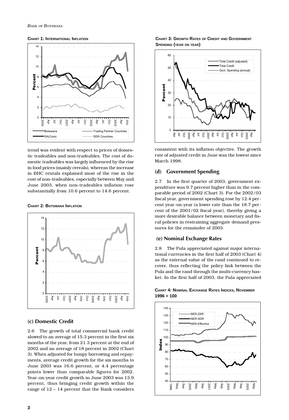**CHART 1: INTERNATIONAL INFLATION**



trend was evident with respect to prices of domestic tradeables and non-tradeables. The cost of domestic tradeables was largely influenced by the rise in food prices (mainly cereals), whereas the increase in BHC rentals explained most of the rise in the cost of non-tradeables, especially between May and June 2003, when non-tradeables inflation rose substantially from 10.6 percent to 14.6 percent.

#### **CHART 2: BOTSWANA INFLATION**



### **(c) Domestic Credit**

2.6 The growth of total commercial bank credit slowed to an average of 15.3 percent in the first six months of the year, from 21.3 percent at the end of 2002 and an average of 18 percent in 2002 (Chart 3). When adjusted for lumpy borrowing and repayments, average credit growth for the six months to June 2003 was 16.6 percent, or 4.4 percentage points lower than comparable figures for 2002. Year-on-year credit growth in June 2003 was 13.9 percent, thus bringing credit growth within the range of 12 – 14 percent that the Bank considers

### **CHART 3: GROWTH RATES OF CREDIT AND GOVERNMENT SPENDING (YEAR ON YEAR)**



consistent with its inflation objective. The growth rate of adjusted credit in June was the lowest since March 1998.

### **(d) Government Spending**

2.7 In the first quarter of 2003, government expenditure was 9.7 percent higher than in the comparable period of 2002 (Chart 3). For the 2002/03 fiscal year, government spending rose by 12.4 percent year-on-year (a lower rate than the 18.7 percent of the 2001/02 fiscal year), thereby giving a more desirable balance between monetary and fiscal policies in restraining aggregate demand pressures for the remainder of 2003.

### **(e) Nominal Exchange Rates**

2.8 The Pula appreciated against major international currencies in the first half of 2003 (Chart 4) as the external value of the rand continued to recover, thus reflecting the policy link between the Pula and the rand through the multi-currency basket. In the first half of 2003, the Pula appreciated



### **CHART 4: NOMINAL EXCHANGE RATES INDICES, NOVEMBER 1996 = 100**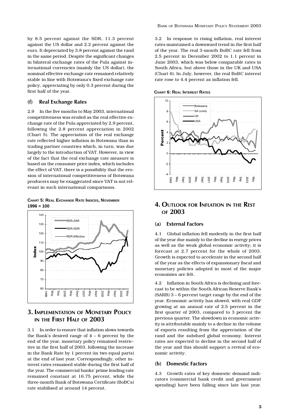by 8.5 percent against the SDR, 11.3 percent against the US dollar and 2.2 percent against the euro. It depreciated by 3.8 percent against the rand in the same period. Despite the significant changes in bilateral exchange rates of the Pula against international currencies (mainly the US dollar), the nominal effective exchange rate remained relatively stable in line with Botswana's fixed exchange rate policy, appreciating by only 0.3 percent during the first half of the year.

### **(f) Real Exchange Rates**

2.9 In the five months to May 2003, international competitiveness was eroded as the real effective exchange rate of the Pula appreciated by 2.9 percent, following the 2.8 percent appreciation in 2002 (Chart 5). The appreciation of the real exchange rate reflected higher inflation in Botswana than in trading partner countries which, in turn, was due largely to the introduction of VAT. However, in view of the fact that the real exchange rate measure is based on the consumer price index, which includes the effect of VAT, there is a possibility that the erosion of international competitiveness of Botswana producers may be exaggerated since VAT is not relevant in such international comparisons.

**CHART 5: REAL EXCHANGE RATE INDICES, NOVEMBER 1996 = 100**



# **3. IMPLEMENTATION OF MONETARY POLICY IN THE FIRST HALF OF 2003**

3.1 In order to ensure that inflation slows towards the Bank's desired range of  $4 - 6$  percent by the end of the year, monetary policy remained restrictive in the first half of 2003, following the increase in the Bank Rate by 1 percent (in two equal parts) at the end of last year. Correspondingly, other interest rates remained stable during the first half of the year. The commercial banks' prime lending rate remained constant at 16.75 percent, while the three-month Bank of Botswana Certificate (BoBCs) rate stabilised at around 14 percent.

3.2 In response to rising inflation, real interest rates maintained a downward trend in the first half of the year. The real 3-month BoBC rate fell from 2.5 percent in December 2002 to 1.1 percent in June 2003, which was below comparable rates in South Africa, but above those in the UK and USA (Chart 6). In July, however, the real BoBC interest rate rose to 4.4 percent as inflation fell.





# **4. OUTLOOK FOR INFLATION IN THE REST OF 2003**

### **(a) External Factors**

4.1 Global inflation fell modestly in the first half of the year due mainly to the decline in energy prices as well as the weak global economic activity; it is forecast at 2.7 percent for the whole of 2003. Growth is expected to accelerate in the second half of the year as the effects of expansionary fiscal and monetary policies adopted in most of the major economies are felt.

4.2 Inflation in South Africa is declining and forecast to be within the South African Reserve Bank's (SARB) 3 – 6 percent target range by the end of the year. Economic activity has slowed, with real GDP growing at an annual rate of 2.5 percent in the first quarter of 2003, compared to 3 percent the previous quarter. The slowdown in economic activity is attributable mainly to a decline in the volume of exports resulting from the appreciation of the rand and the subdued global economy. Interest rates are expected to decline in the second half of the year and this should support a revival of economic activity.

### **(b) Domestic Factors**

4.3 Growth rates of key domestic demand indicators (commercial bank credit and government spending) have been falling since late last year.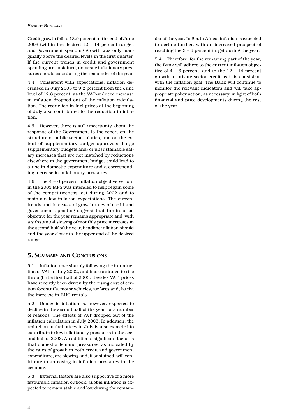Credit growth fell to 13.9 percent at the end of June 2003 (within the desired  $12 - 14$  percent range), and government spending growth was only marginally above the desired levels in the first quarter. If the current trends in credit and government spending are sustained, domestic inflationary pressures should ease during the remainder of the year.

4.4 Consistent with expectations, inflation decreased in July 2003 to 9.2 percent from the June level of 12.8 percent, as the VAT-induced increase in inflation dropped out of the inflation calculation. The reduction in fuel prices at the beginning of July also contributed to the reduction in inflation.

4.5 However, there is still uncertainty about the response of the Government to the report on the structure of public sector salaries, and on the extent of supplementary budget approvals. Large supplementary budgets and/or unsustainable salary increases that are not matched by reductions elsewhere in the government budget could lead to a rise in domestic expenditure and a corresponding increase in inflationary pressures.

4.6 The 4 – 6 percent inflation objective set out in the 2003 MPS was intended to help regain some of the competitiveness lost during 2002 and to maintain low inflation expectations. The current trends and forecasts of growth rates of credit and government spending suggest that the inflation objective for the year remains appropriate and, with a substantial slowing of monthly price increases in the second half of the year, headline inflation should end the year closer to the upper end of the desired range.

# **5. SUMMARY AND CONCLUSIONS**

5.1 Inflation rose sharply following the introduction of VAT in July 2002, and has continued to rise through the first half of 2003. Besides VAT, prices have recently been driven by the rising cost of certain foodstuffs, motor vehicles, airfares and, lately, the increase in BHC rentals.

5.2 Domestic inflation is, however, expected to decline in the second half of the year for a number of reasons*.* The effects of VAT dropped out of the inflation calculation in July 2003. In addition, the reduction in fuel prices in July is also expected to contribute to low inflationary pressures in the second half of 2003. An additional significant factor is that domestic demand pressures, as indicated by the rates of growth in both credit and government expenditure, are slowing and, if sustained, will contribute to an easing in inflation pressures in the economy.

5.3 External factors are also supportive of a more favourable inflation outlook. Global inflation is expected to remain stable and low during the remain-

der of the year. In South Africa, inflation is expected to decline further, with an increased prospect of reaching the 3 – 6 percent target during the year.

5.4 Therefore, for the remaining part of the year, the Bank will adhere to the current inflation objective of  $4 - 6$  percent, and to the  $12 - 14$  percent growth in private sector credit as it is consistent with the inflation goal. The Bank will continue to monitor the relevant indicators and will take appropriate policy action, as necessary, in light of both financial and price developments during the rest of the year.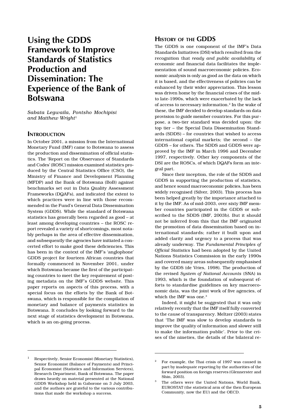# **Using the GDDS Framework to Improve Standards of Statistics Production and Dissemination: The Experience of the Bank of Botswana**

*Sabata Legwaila, Pontsho Mochipisi and Matthew Wright*<sup>1</sup>

### **INTRODUCTION**

In October 2001, a mission from the International Monetary Fund (IMF) came to Botswana to assess the production and dissemination of official statistics. The 'Report on the Observance of Standards and Codes' (ROSC) mission examined statistics produced by the Central Statistics Office (CSO), the Ministry of Finance and Development Planning (MFDP) and the Bank of Botswana (BoB) against benchmarks set out in Data Quality Assessment Frameworks (DQAFs), and indicated the extent to which practices were in line with those recommended in the Fund's General Data Dissemination System (GDDS). While the standard of Botswana statistics has generally been regarded as good – at least among developing countries – the ROSC report revealed a variety of shortcomings, most notably perhaps in the area of effective dissemination, and subsequently the agencies have initiated a concerted effort to make good these deficiencies. This has been in the context of the IMF's 'anglophone' GDDS project for fourteen African countries that formally commenced in November 2001, under which Botswana became the first of the participating countries to meet the key requirement of posting metadata on the IMF's GDDS website. This paper reports on aspects of this process, with a special focus on the efforts by the Bank of Botswana, which is responsible for the compilation of monetary and balance of payments statistics in Botswana. It concludes by looking forward to the next stage of statistics development in Botswana, which is an on-going process.

### **HISTORY OF THE GDDS**

The GDDS is one component of the IMF's Data Standards Initiatives (DSI) which resulted from the recognition that *ready and public availability* of economic and financial data facilitates the implementation of sound macroeconomic policies. Economic analysis is only as good as the data on which it is based, and the effectiveness of policies can be enhanced by their wider appreciation. This lesson was driven home by the financial crises of the midto late-1990s, which were exacerbated by the lack of access to necessary information.2 In the wake of these, the IMF decided to develop standards on data provision to guide member countries. For this purpose, a two-tier standard was decided upon: the top tier – the Special Data Dissemination Standards (SDDS) – for countries that wished to access international capital markets; the second – the GDDS – for others. The SDDS and GDDS were approved by the IMF in March 1996 and December 1997, respectively. Other key components of the DSI are the ROSCs, of which DQAFs form an integral part.

Since their inception, the role of the SDDS and GDDS in supporting the production of statistics, and hence sound macroeconomic policies, has been widely recognised (Silver, 2003). This process has been helped greatly by the importance attached to it by the IMF. As of mid-2003, over sixty IMF member countries participated in the GDDS or subscribed to the SDDS (IMF, 2003b). But it should not be inferred from this that the IMF originated the promotion of data dissemination based on international standards; rather it built upon and added clarity and urgency to a process that was already underway. The *Fundamental Principles of Official Statistics* had been adopted by the United Nations Statistics Commission in the early 1990s and covered many areas subsequently emphasised by the GDDS (de Vries, 1998). The production of the revised *System of National Accounts* (SNA) in 1993, which is the foundation of subsequent efforts to standardise guidelines on key macroeconomic data, was the joint work of five agencies, of which the IMF was one.<sup>3</sup>

Indeed, it might be suggested that it was only relatively recently that the IMF itself fully converted to the cause of transparency. Meltzer (2003) states that 'The IMF was slow to develop standards to improve the quality of information and slower still to make the information public'. Prior to the crises of the nineties, the details of the bilateral re-

Respectively, Senior Economist (Monetary Statistics), Senior Economist (Balance of Payments) and Principal Economist (Statistics and Information Services), Research Department, Bank of Botswana. The paper draws heavily on material presented at the National GDDS Workshop held in Gaborone on 3 July 2003, and the authors are grateful to the various contributions that made the workshop a success.

<sup>2</sup> For example, the Thai crisis of 1997 was caused in part by inadequate reporting by the authorities of the forward position on foreign reserves (Glennerster and Shin, 2003).

<sup>3</sup> The others were the United Nations, World Bank, EUROSTAT (the statistical arm of the then European Community, now the EU) and the OECD.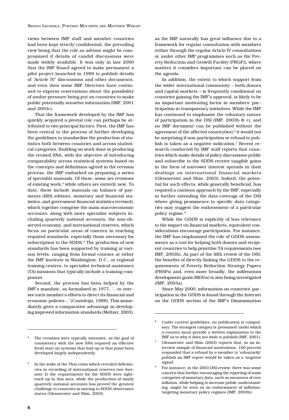views between IMF staff and member countries had been kept strictly confidential, the prevailing view being that the role as advisor might be compromised if details of candid discussions were made widely available. It was only in late 2000 that the IMF Board agreed to make permanent a pilot project launched in 1999 to publish details of 'Article IV' discussions and other documents, and even then some IMF Directors have continued to express reservations about the possibility of undue pressure being put on countries to make public potentially sensitive information (IMF, 2001 and 2003c).

That the framework developed by the IMF has quickly acquired a pivotal role can perhaps be attributed to two principal factors. First, the IMF has been central to the process of further developing the guidelines to standardise the production of statistics both between countries and across statistical categories. Building on work done in producing the revised SNA, with the objective of introducing comparability across statistical systems based on the concepts and definitions agreed in the revision process, the IMF embarked on preparing a series of specialist manuals. Of these, some are revisions of existing work,<sup>4</sup> while others are entirely new. To date, these include manuals on balance of payments (fifth edition), monetary and financial statistics, and government financial statistics (revised), which together comprise the main macroeconomic accounts; along with more specialist subjects including quarterly national accounts, the non-observed economy, and international reserves, which focus on particular areas of concern in reaching required standards, especially those necessary for subscription to the SDDS.<sup>5</sup> The production of new standards has been supported by training at various levels, ranging from formal courses at either the IMF Institute in Washington, D.C., or regional training centres, to specialist technical assistance (TA) missions that typically include a training component.

Second, the process has been helped by the IMF's mandate, as formalised in 1977, '…to oversee each member's efforts to direct its financial and economic policies…' (Casteleijn, 1998). This immediately gives a comparative advantage in developing improved information standards (Meltzer, 2003),

as the IMF naturally has great influence due to a framework for regular consultation with members (either through the regular Article IV consultations or under other IMF programmes such as the Poverty Reduction and Growth Facility (PRGF)), where matters it considers important can be placed on the agenda.

In addition, the extent to which support from the wider international community – both donors and capital markets – is frequently conditional on countries gaining the IMF's approval, is likely to be an important motivating factor in members' participation in transparency initiatives. While the IMF has continued to emphasise the voluntary nature of participation in the DSI (IMF, 2003b & c), and no IMF document can be published without the agreement of the affected country(ies),<sup>6</sup> it would not be surprising if non-participation or refusal to publish is taken as a negative indication.7 Recent research conducted by IMF staff reports that countries which make details of policy discussions public and subscribe to the SDDS receive tangible gains in the form of narrower interest spreads in their dealings on international financial markets (Glennerster and Shin, 2003). Indeed, the potential for such effects, while generally beneficial, has required a cautious approach by the IMF, especially in further extending the data coverage of the DSI where giving prominence to specific data categories may suggest the endorsement of a particular policy regime.8

While the GDDS is explicitly of less relevance to the impact on financial markets, equivalent considerations encourage participation. For instance, the IMF has emphasised the role of GDDS assessments as a tool for helping both donors and recipient countries to help prioritise TA requirements (see IMF, 2003b). As part of the fifth review of the DSI, the benefits of directly linking the GDDS to the requirements of Poverty Reduction Strategy Papers (PRSPs) and, even more broadly, the millennium development goals (MDGs) is also being investigated (IMF, 2003a).

Since May 2000, information on countries' participation in the GDDS is found through the Internet on the GDDS section of the IMF's Dissemination

The revisions were typically extensive, as the goal of consistency with the new SNA required an effective fresh start on systems that had up to that point been developed largely independently.

<sup>5</sup> In the wake of the Thai crisis which revealed deficiencies in recording of international reserves (see footnote 2) the requirements for the SDDS were tightened up in this area, while the production of timely quarterly national accounts has proved the greatest challenge to countries in moving to SDDS observance status (Glennerster and Shin, 2003).

Under current guidelines, no publication is compulsory. The strongest category is 'presumed' under which a country must provide a written explanation to the IMF as to why it does not wish to publish (IMF, 2001).

<sup>7</sup> Glennerster and Shin (2003) reports that, in an interview sample of financial institutions, 100 percent responded that a refusal by a member to 'voluntarily' publish an IMF report would be taken as a 'negative signal'.

<sup>8</sup> For instance, in the 2003 DSI review, there was some concern that further encouraging the reporting of some categories of monetary data, such as measures of core inflation, while helping to increase public understanding, might be seen as an endorsement of inflationtargeting monetary policy regimes (IMF, 2003b).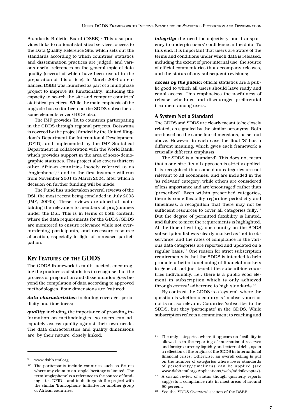Standards Bulletin Board (DSBB).<sup>9</sup> This also provides links to national statistical services, access to the Data Quality Reference Site, which sets out the standards according to which countries' statistics and dissemination practices are judged, and various useful references on the general topic of data quality (several of which have been useful in the preparation of this article). In March 2003 an enhanced DSBB was launched as part of a multiphase project to improve its functionality, including the capacity to search the site and compare countries' statistical practices. While the main emphasis of the upgrade has so far been on the SDDS subscribers, some elements cover GDDS also.

The IMF provides TA to countries participating in the GDDS through regional projects. Botswana is covered by the project funded by the United Kingdom's Department for International Development (DFID), and implemented by the IMF Statistical Department in collaboration with the World Bank, which provides support in the area of socio-demographic statistics. This project also covers thirteen other African countries loosely referred to as 'Anglophone',<sup>10</sup> and in the first instance will run from November 2001 to March 2004, after which a decision on further funding will be made.

The Fund has undertaken several reviews of the DSI, the most recent being concluded in July 2003 (IMF, 2003b). These reviews are aimed at maintaining the relevance to members of programmes under the DSI. This is in terms of both content, where the data requirements for the GDDS/SDDS are monitored to ensure relevance while not overburdening participants, and necessary resource allocation, especially in light of increased participation.

# **KEY FEATURES OF THE GDDS**

The GDDS framework is multi-faceted, encouraging the producers of statistics to recognise that the process of preparation and dissemination goes beyond the compilation of data according to approved methodologies. Four dimensions are featured:

*data characteristics***:** including coverage, periodicity and timeliness;

*quality***:** including the importance of providing information on methodologies, so users can adequately assess quality against their own needs. The data characteristics and quality dimensions are, by their nature, closely linked;

*integrity***:** the need for objectivity and transparency to underpin users' confidence in the data. To this end, it is important that users are aware of the terms and conditions under which data is released, including the extent of prior internal use, the source of official commentaries that accompany releases, and the status of any subsequent revisions;

*access by the public***:** official statistics are a public good to which all users should have ready and equal access. This emphasises the usefulness of release schedules and discourages preferential treatment among users.

### **A System Not a Standard**

The GDDS and SDDS are clearly meant to be closely related, as signaled by the similar acronyms. Both are based on the same four dimensions, as set out above. However, in each case the final 'S' has a different meaning, which gives each framework a crucially different emphasis.

The SDDS is a 'standard'. This does not mean that a one-size-fits-all approach is strictly applied. It is recognised that some data categories are not relevant to all economies, and are included in the 'as relevant' category, while others are considered of less importance and are 'encouraged' rather than 'prescribed'. Even within prescribed categories, there is some flexibility regarding periodicity and timeliness, a recognition that there may not be sufficient resources to cover all categories fully.<sup>11</sup> But the degree of permitted flexibility is limited, and failure to meet the requirements is highlighted. At the time of writing, one country on the SDDS subscription list was clearly marked as 'not in observance' and the rates of compliance in the various data categories are reported and updated on a regular basis.12 One reason for strict subscription requirements is that the SDDS is intended to help promote a better functioning of financial markets in general, not just benefit the subscribing countries individually, i.e., there is a public good element in subscription which is only achieved through *general* adherence to high standards.<sup>13</sup>

By contrast the GDDS is a 'system', where the question is whether a country is 'in observance' or not is not so relevant. Countries 'subscribe' to the SDDS, but they 'participate' in the GDDS. While subscription reflects a commitment to reaching and

<sup>9</sup> www.dsbb.imf.org

<sup>&</sup>lt;sup>10</sup> The participants include countries such as Eritrea where any claim to an 'anglo' heritage is limited. The term 'anglophone' is a reference to the source of funding – i.e. DFID – and to distinguish the project with the similar 'francophone' initiative for another group of African countries.

<sup>&</sup>lt;sup>11</sup> The only categories where it appears no flexibility is allowed is in the reporting of international reserves and foreign currency liquidity and external debt, again a reflection of the origins of the SDDS in international financial crises. Otherwise, an overall ceiling is put on the number of categories where lower standards of periodicity/timeliness can be applied (see www.dsbb.imf.org/Applications/web/sddsflexopts/).

 $12$  A casual review of status though quarterly reports suggests a compliance rate in most areas of around 90 percent.

<sup>&</sup>lt;sup>13</sup> See the 'SDDS Overview' section of the DSBB.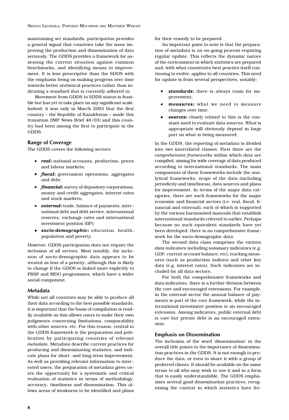SEBATA LEGWAILA, PONTSHO MOCHIPISI AND MATTHEW WRIGHT

maintaining set standards, participation provides a general signal that countries take the issue improving the production and dissemination of data seriously. The GDDS provides a framework for assessing the current situation against common benchmarks, and identifying means to improvement. It is less prescriptive than the SDDS with the emphasis being on making progress over time towards better statistical practices rather than indicating a standard that is currently adhered to.

Movement from GDDS to SDDS status is feasible but has yet to take place on any significant scale. Indeed, it was only in March 2003 that the first country – the Republic of Kazakhstan – made this transition (IMF News Brief 48/03) and this country had been among the first to participate in the GDDS.

### **Range of Coverage**

The GDDS covers the following sectors:

- *real***:** national accounts, production, prices and labour markets;
- *fiscal***:** government operations, aggregates and debt;
- *financial***:** survey of depository corporations, money and credit aggregates, interest rates and stock markets;
- *external***:**trade, balance of payments, international debt and debt service, international reserves, exchange rates and international investment position (IIP);
- *socio-demographic***:** education, health, population and poverty.

However, GDDS participation does not require the inclusion of all sectors. Most notably, the inclusion of socio-demographic data appears to be treated as less of a priority, although this is likely to change if the GDDS is linked more explicitly to PRSP and MDG programmes, which have a wider social component.

### **Metadata**

While not all countries may be able to produce all their data according to the best possible standards, it is important that the basis of compilation is readily available as this allows users to make their own judgments concerning limitations, comparability with other sources, etc. For this reason, central to the GDDS framework is the preparation and publication by participating countries of relevant *metadata*. Metadata describe current practices for producing and disseminating statistics, and indicate plans for short- and long-term improvement. As well as providing relevant information to interested users, the preparation of metadata gives users the opportunity for a systematic and critical evaluation of statistics in terms of methodology, accuracy, timeliness and dissemination. This allows areas of weakness to be identified and plans

for their remedy to be prepared.

An important point to note is that the preparation of metadata is an on-going process requiring regular update. This reflects the dynamic nature of the environment in which statistics are prepared and, with what constitutes best practice itself continuing to evolve, applies to all countries. This need for update is from several perspectives, notably:

- • *standards***:** there is always room for improvement;
- • *measures***:** what we need to measure changes over time;
- • *sources***:** closely related to this is the constant need to evaluate data sources. What is appropriate will obviously depend in large part on what is being measured.

In the GDDS, the reporting of metadata is divided into two interrelated classes. First there are the *comprehensive frameworks* within which data are compiled, aiming for wide coverage of data produced according to international standards. The main components of these frameworks include the analytical frameworks, scope of the data (including periodicity and timeliness), data sources and plans for improvement. In terms of the major data categories, there are such frameworks for the major economic and financial sectors (i.e. real, fiscal, financial and external), each of which is supported by the various harmonised manuals that establish international standards referred to earlier. Perhaps because no such equivalent standards have yet been developed, there is no comprehensive framework for the socio-demographic data.

The second data class comprises the various *data indicators* including summary indicators (e.g. GDP, current account balance, etc), tracking measures (such as production indices) and other key data (e.g. interest rates). Such indicators are included for all data sectors.

For both the comprehensive frameworks and data indicators, there is a further division between the core and encouraged extensions. For example, in the external sector the annual balance of payments is part of the core framework, while the international investment position is an encouraged extension. Among indicators, public external debt is core but private debt is an encouraged extension.

### **Emphasis on Dissemination**

The inclusion of the word 'dissemination' in the overall title points to the importance of dissemination practices in the GDDS. It is not enough to produce the data, or even to share it with a group of preferred clients. It should be available on the same terms to all who may wish to use it and in a form that is easily understandable. The GDDS emphasises several good dissemination practices, recognising the context in which statistics have fre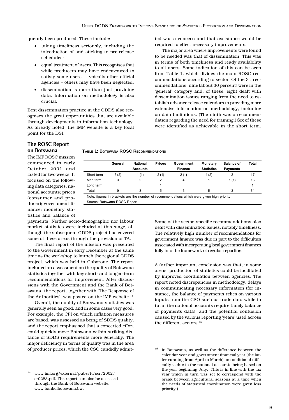quently been produced. These include:

- taking timeliness seriously, including the introduction of and sticking to pre-release schedules;
- equal treatment of users. This recognises that while producers may have endeavoured to satisfy some users – typically other official agencies – others may have been neglected;
- dissemination is more than just providing data. Information on methodology is also crucial.

Best dissemination practice in the GDDS also recognises the great opportunities that are available through developments in information technology. As already noted, the IMF website is a key focal point for the DSI.

ted was a concern and that assistance would be required to effect necessary improvements.

The major area where improvements were found to be needed was that of dissemination. This was in terms of both timeliness and ready availability to all users. Some indication of this can be seen from Table 1, which divides the main ROSC recommendations according to sector. Of the 31 recommendations, nine (about 30 percent) were in the 'general' category and, of these, eight dealt with dissemination issues ranging from the need to establish advance release calendars to providing more extensive information on methodology, including on data limitations. (The ninth was a recommendation regarding the need for training.) Six of these were identified as achievable in the short term.

### **The ROSC Report on Botswana**

The IMF ROSC mission commenced in early October 2001 and lasted for two weeks. It focused on the following data categories: national accounts; prices (consumer and producer); government finance; monetary statistics and balance of

|            | General | <b>National</b> | <b>Prices</b> | Government     | <b>Monetary</b>   | <b>Balance of</b> | <b>Total</b> |
|------------|---------|-----------------|---------------|----------------|-------------------|-------------------|--------------|
|            |         | <b>Accounts</b> |               | <b>Finance</b> | <b>Statistics</b> | <b>Payments</b>   |              |
| Short term | 6(2)    | 1(1)            | 2(1)          | 2(1)           | 4(2)              |                   |              |
| Med term   | 3       | 2               | 2             | 4              |                   | 1(1)              | 13           |
| Long term  |         |                 |               |                |                   |                   |              |
| Total      | 9       |                 | 5             | 6              | 5                 |                   | 31           |

Note: figures in brackets are the number of recommendations which were given high priority Source: Botswana ROSC Report

payments. Neither socio-demographic nor labour market statistics were included at this stage, although the subsequent GDDS project has covered some of these areas through the provision of TA.

The final report of the mission was presented to the Government in early December at the same time as the workshop to launch the regional GDDS project, which was held in Gaborone. The report included an assessment on the quality of Botswana statistics together with key short- and longer-term recommendations for improvement. After discussions with the Government and the Bank of Botswana, the report, together with 'The Response of the Authorities', was posted on the IMF website. $14$ 

Overall, the quality of Botswana statistics was generally seen as good, and in some cases very good. For example, the CPI on which inflation measures are based, was assessed as being of SDDS quality, and the report emphasised that a concerted effort could quickly move Botswana within striking distance of SDDS requirements more generally. The major deficiency in terms of quality was in the area of producer prices, which the CSO candidly admitSome of the sector-specific recommendations also dealt with dissemination issues, notably timeliness. The relatively high number of recommendations for government finance was due in part to the difficulties associated with incorporating local government finances fully into the framework of regular reporting.

A further important conclusion was that, in some areas, production of statistics could be facilitated by improved coordination between agencies. The report noted discrepancies in methodology, delays in communicating necessary information (for instance, the balance of payments relies on various inputs from the CSO such as trade data while in turn, the national accounts require timely balance of payments data), and the potential confusion caused by the various reporting 'years' used across the different sectors.15

<sup>14</sup> www.imf.org/external/pubs/ft/scr/2002/ cr0283.pdf. The report can also be accessed through the Bank of Botswana website, www.bankofbotswana.bw.

<sup>15</sup> In Botswana, as well as the difference between the calendar year and government financial year (the latter running from April to March), an additional difficulty is due to the national accounts being based on the year beginning July. (This is in line with the tax year which in turn was set to correspond with the break between agricultural seasons at a time when the needs of statistical coordination were given less priority.)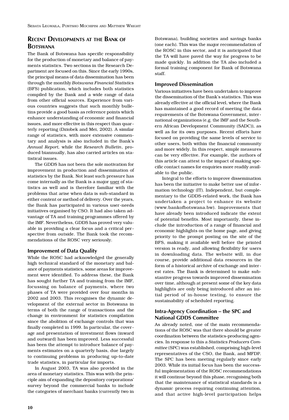# **RECENT DEVELOPMENTS AT THE BANK OF BOTSWANA**

The Bank of Botswana has specific responsibility for the production of monetary and balance of payments statistics. Two sections in the Research Department are focused on this. Since the early 1990s, the principal means of data dissemination has been through the monthly *Botswana Financial Statistics* (BFS) publication, which includes both statistics compiled by the Bank and a wide range of data from other official sources. Experience from various countries suggests that such monthly bulletins provide a good basis as reference points which enhance understanding of economic and financial issues, and more effective in this respect than quarterly reporting (Dziobek and Mei, 2002). A similar range of statistics, with more extensive commentary and analysis is also included in the Bank's *Annual Report,* while the *Research Bulletin*, produced biannually, has also carried articles on statistical issues.

The GDDS has not been the sole motivation for improvement in production and dissemination of statistics by the Bank. Not least such pressure has come internally as the Bank is a major user of statistics as well and is therefore familiar with the problems that arise when data is sub-standard in either content or method of delivery. Over the years, the Bank has participated in various user-needs initiatives organised by CSO. It had also taken advantage of TA and training programmes offered by the IMF. Nevertheless, GDDS has proved very valuable in providing a clear focus and a critical perspective from outside. The Bank took the recommendations of the ROSC very seriously.

### **Improvement of Data Quality**

While the ROSC had acknowledged the generally high technical standard of the monetary and balance of payments statistics, some areas for improvement were identified. To address these, the Bank has sought further TA and training from the IMF, focussing on balance of payments, where two phases of TA were provided over four months in 2002 and 2003. This recognises the dynamic development of the external sector in Botswana in terms of both the range of transactions and the change in environment for statistics compilation since the abolition of exchange controls that was finally completed in 1999. In particular, the coverage and presentation of investment flows (inward and outward) has been improved. Less successful has been the attempt to introduce balance of payments estimates on a quarterly basis, due largely to continuing problems in producing up-to-date trade statistics, in particular for imports.

In August 2003, TA was also provided in the area of monetary statistics. This was with the principle aim of expanding the depository corporations' survey beyond the commercial banks to include the categories of merchant banks (currently two in

Botswana), building societies and savings banks (one each). This was the major recommendation of the ROSC in this sector, and it is anticipated that the TA will have paved the way for progress to be made quickly. In addition the TA also included a formal training component for Bank of Botswana staff.

### **Improved Dissemination**

Various initiatives have been undertaken to improve the dissemination of the Bank's statistics. This was already effective at the official level, where the Bank has maintained a good record of meeting the data requirements of the Botswana Government, international organizations (e.g. the IMF and the Southern African Development Community (SADC)), as well as for its own purposes. Recent efforts have focused on providing the same levels of service to other users, both within the financial community and more widely. In this respect, simple measures can be very effective. For example, the authors of this article can attest to the impact of making specific contact names for enquiries more readily available to the public.

Integral to the efforts to improve dissemination has been the initiative to make better use of information technology (IT). Independent, but complementary to the GDDS-related work, the Bank has undertaken a project to enhance its website (www.bankofbotswana.bw). Improvements that have already been introduced indicate the extent of potential benefits. Most importantly, these include the introduction of a range of financial and economic highlights on the home page, and giving priority to the prompt posting on the site of the BFS, making it available well before the printed version is ready, and allowing flexibility for users in downloading data. The website will, in due course, provide additional data resources in the form of a historical archive of exchange and interest rates. The Bank is determined to make substantive progress towards improved dissemination over time, although at present some of the key data highlights are only being introduced after an initial period of in-house testing, to ensure the sustainability of scheduled reporting.

### **Intra-Agency Coordination – the SPC and National GDDS Committee**

As already noted, one of the main recommendations of the ROSC was that there should be greater coordination between the statistics-producing agencies. In response to this a *Statistics Producers Committee* (SPC) was established, comprising high-level representatives of the CSO, the Bank, and MFDP. The SPC has been meeting regularly since early 2003. While its initial focus has been the successful implementation of the ROSC recommendations it will continue beyond this phase, recognising both that the maintenance of statistical standards is a dynamic process requiring continuing attention, and that active high-level participation helps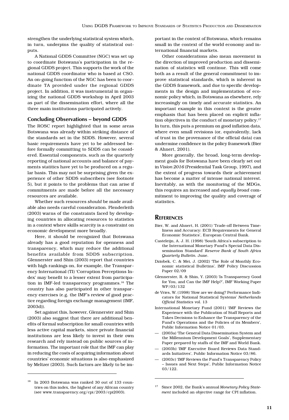strengthen the underlying statistical system which, in turn, underpins the quality of statistical outputs.

A National GDDS Committee (NGC) was set up to coordinate Botswana's participation in the regional GDDS project. This supports the work of the national GDDS coordinator who is based at CSO. An on-going function of the NGC has been to coordinate TA provided under the regional GDDS project. In addition, it was instrumental in organizing the national GDDS workshop in April 2003 as part of the dissemination effort, where all the three main institutions participated actively.

### **Concluding Observations – beyond GDDS**

The ROSC report highlighted that in some areas Botswana was already within striking distance of the standards set in the SDDS. However, several basic requirements have yet to be addressed before formally committing to SDDS can be considered. Essential components, such as the quarterly reporting of national accounts and balance of payments statitics have yet to be produced on a regular basis. This may not be surprising given the experience of other SDDS subscribers (see footnote 5), but it points to the problems that can arise if commitments are made before all the necessary resources are available.

Whether such resources *should* be made available also needs careful consideration. Plenderleith (2003) warns of the constraints faced by developing countries in allocating resources to statistics in a context where skills scarcity is a constraint on economic development more broadly.

Here, it should be recognized that Botswana already has a good reputation for openness and transparency, which may reduce the additional benefits available from SDDS subscription. Glennerster and Shin (2003) report that countries with high rankings on, for example, the Transparency International (TI) 'Corruption Perceptions Index' may benefit to a lesser extent from participation in IMF-led transparency programmes.<sup>16</sup> The country has also participated in other transparency exercises (e.g. the IMF's review of good practice regarding foreign exchange management (IMF, 2003d)).

Set against this, however, Glennerster and Shin (2003) also suggest that there are additional benefits of formal subscription for small countries with less active capital markets, since private financial institutions are less likely to invest in their own research and rely instead on public sources of information. The important role that the IMF can play in reducing the costs of acquiring information about countries' economic situations is also emphasized by Meltzer (2003). Such factors are likely to be important in the context of Botswana, which remains small in the context of the world economy and international financial markets.

Other considerations also mean movement in the direction of improved production and dissemination of statistics will continue. This will come both as a result of the general commitment to improve statistical standards, which is inherent in the GDDS framework, and due to specific developments in the design and implementation of economic policy which, in Botswana as elsewhere, rely increasingly on timely and accurate statistics. An important example in this context is the greater emphasis that has been placed on explicit inflation objectives in the conduct of monetary policy.<sup>17</sup> In turn, this puts a premium on good inflation data, where even small revisions (or, equivalently, lack of trust in the provenance of the official data) can undermine confidence in the policy framework (Bier & Ahnert, 2001).

More generally, the broad, long-term development goals for Botswana have been clearly set out in *Vision 2016* (Presidential Task Group, 1997), and the extent of progress towards their achievement has become a matter of intense national interest. Inevitably, as with the monitoring of the MDGs, this requires an increased and *equally broad* commitment to improving the quality and coverage of statistics.

# **REFERENCES**

- Bier, W. and Ahnert, H. (2001) 'Trade-off Between Timeliness and Accuracy: ECB Requirements for General Economic Statistics', European Central Bank.
- Casteleijn, A. J. H. (1998) 'South Africa's subscription to the International Monetary Fund's Special Data Dissemination Standard' *Reserve Bank of South Africa Quarterly Bulletin.* June.
- Dziobek, C. & Mei, J. (2002) 'The Role of Monthly Economic statistical Bulletins'*,* IMF Policy Discussion Paper 02/09
- Glennerster, R. & Shin, Y. (2003) 'Is Transparency Good for You, and Can the IMF Help?', IMF Working Paper WP/03/132
- de Vries, W. (1998) 'How are we doing? Performance Indicators for National Statistical Systems' *Netherlands Official Statistics* vol. 13
- International Monetary Fund (2001) 'IMF Reviews the Experience with the Publication of Staff Reports and Takes Decisions to Enhance the Transparency of the Fund's Operations and the Policies of its Members', Public Information Notice 01/03.
- (2003a) 'The General Data Dissemination System and the Millennium Development Goals', Supplementary Paper prepared by staffs of the IMF and World Bank.
- (2003b) 'IMF Executive Board Reviews Data Standards Initiatives', Public Information Notice 03/86.
- (2003c) 'IMF Reviews the Fund's Transparency Policy – Issues and Next Steps', Public Information Notice 03/122.

<sup>16</sup> In 2003 Botswana was ranked 30 out of 133 countries on this index, the highest of any African country (see www.transparency.org/cpi/2003/cpi2003).

<sup>17</sup> Since 2002, the Bank's annual *Monetary Policy Statement* included an objective range for CPI inflation.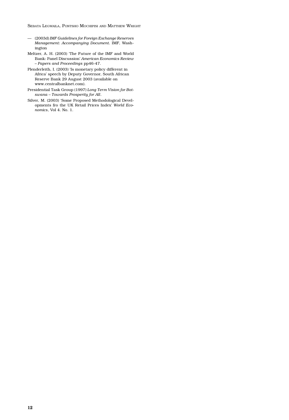SEBATA LEGWAILA, PONTSHO MOCHIPISI AND MATTHEW WRIGHT

- (2003d) *IMF Guidelines for Foreign Exchange Reserves Management: Accompanying Document.* IMF, Washington
- Meltzer, A. H. (2003) 'The Future of the IMF and World Bank: Panel Discussion' *American Economics Review – Papers and Proceedings* pp46-47.
- Plenderleith, I. (2003) 'Is monetary policy different in Africa' speech by Deputy Governor, South African Reserve Bank 29 August 2003 (available on www.centralbanknet.com).
- Presidential Task Group (1997) *Long Term Vision for Botswana – Towards Prosperity for All*.
- Silver, M. (2003) 'Some Proposed Methodological Developments fro the UK Retail Prices Index' *World Economics*, Vol 4. No. 1.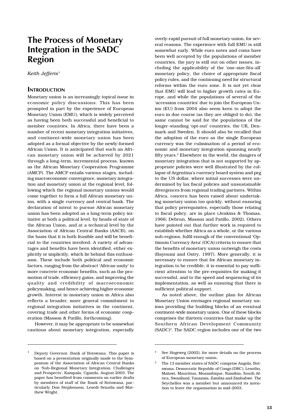# **The Process of Monetary Integration in the SADC Region**

*Keith Jefferis*<sup>1</sup>

### **INTRODUCTION**

Monetary union is an increasingly topical issue in economic policy discussions. This has been prompted in part by the experience of European Monetary Union (EMU), which is widely perceived as having been both successful and beneficial to member countries. In Africa, there have been a number of recent monetary integration initiatives, and continent-wide monetary union has been adopted as a formal objective by the newly-formed African Union. It is anticipated that such an African monetary union will be achieved by 2021 through a long-term, incremental process, known as the African Monetary Cooperation Programme (AMCP). The AMCP entails various stages, including macroeconomic convergence, monetary integration and monetary union at the regional level, following which the regional monetary unions would come together to form a full African monetary union, with a single currency and central bank. The declaration of intent to pursue African monetary union has been adopted as a long-term policy initiative at both a political level, by heads of state of the African Union, and at a technical level by the Association of African Central Banks (AACB), on the basis that it is both feasible and will be beneficial to the countries involved. A variety of advantages and benefits have been identified, either explicitly or implicitly, which lie behind this enthusiasm. These include both political and economic factors, ranging from the abstract 'African unity' to more concrete economic benefits, such as the promotion of trade, efficiency gains, and improving the quality and credibility of macroeconomic policymaking, and hence achieving higher economic growth. Interest in monetary union in Africa also reflects a broader, more general commitment to regional integration initiatives in the continent, covering trade and other forms of economic cooperation (Masson & Patillo, forthcoming).

However, it may be appropriate to be somewhat cautious about monetary integration, especially

overly-rapid pursuit of full monetary union, for several reasons. The experience with full EMU is still somewhat early. While euro notes and coins have been well accepted by the populations of member countries, the jury is still out on other issues, including the applicability of the 'one-size-fits-all' monetary policy, the choice of appropriate fiscal policy rules, and the continuing need for structural reforms within the euro zone. It is not yet clear that EMU will lead to higher growth rates in Europe, and while the populations of several of the 'accession countries' due to join the European Union (EU) from 2004 also seem keen to adopt the euro in due course (as they are obliged to do), the same cannot be said for the populations of the longer-standing 'opt-out' countries, the UK, Denmark and Sweden. It should also be recalled that the adoption of the euro as the single European currency was the culmination of a period of economic and monetary integration spanning nearly fifty years.2 Elsewhere in the world, the dangers of monetary integration that is not supported by appropriate policies were well illustrated by the collapse of Argentina's currency board system and peg to the US dollar, where initial successes were undermined by lax fiscal policies and unsustainable divergences from regional trading partners. Within Africa, concern has been raised about undertaking monetary union too quickly, without ensuring that policy prerequisites, especially those relating to fiscal policy, are in place (Jenkins & Thomas, 1966; Debrun, Masson and Patillo, 2002). Others have pointed out that further work is required to establish whether Africa as a whole, or the various sub-regions, fulfil enough of the conventional 'Optimum Currency Area' (OCA) criteria to ensure that the benefits of monetary union outweigh the costs (Bayoumi and Ostry, 1997). More generally, it is necessary to ensure that for African monetary integration to be credible, it is essential to pay sufficient attention to the pre-requisites for making it successful, and to the speed and sequencing of its implementation, as well as ensuring that there is sufficient political support.

As noted above, the outline plan for African Monetary Union envisages regional monetary unions providing the building blocks of an eventual continent-wide monetary union. One of these blocks comprises the thirteen countries that make up the Southern African Development Community (SADC)3. The SADC region includes one of the two

<sup>1</sup> Deputy Governor, Bank of Botswana. This paper is based on a presentation originally made to the Symposium of the Association of African Central Banks on 'Sub-Regional Monetary Integration: Challenges and Prospects', Kampala, Uganda, August 2003. The paper has benefited from comments on earlier drafts by members of staff of the Bank of Botswana, particularly Don Stephenson, Lesedi Senatla and Matthew Wright.

<sup>&</sup>lt;sup>2</sup> See Hogeweg (2002), for more details on the process of European monetary union.

<sup>3</sup> The 13 member states of SADC comprise Angola, Botswana, Democratic Republic of Congo (DRC), Lesotho, Malawi, Mauritius, Mozambique, Namibia, South Africa, Swaziland, Tanzania, Zambia and Zimbabwe. The Seychelles was a member but announced its intention to leave the organisation in mid-2003.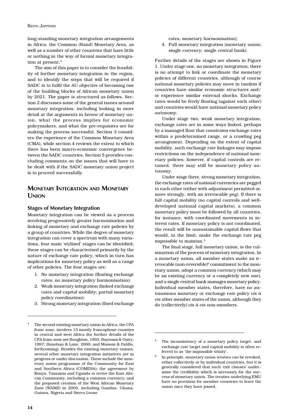long-standing monetary integration arrangements in Africa, the Common (Rand) Monetary Area, as well as a number of other countries that have little or nothing in the way of formal monetary integration at present.<sup>4</sup>

The aim of this paper is to consider the feasibility of further monetary integration in the region, and to identify the steps that will be required if SADC is to fulfil the AU objective of becoming one of the building blocks of African monetary union by 2021. The paper is structured as follows. Section 2 discusses some of the general issues around monetary integration, including looking in more detail at the arguments in favour of monetary union, what the process implies for economic policymakers, and what the pre-requisites are for making the process successful. Section 3 considers the experience of the Common Monetary Area (CMA), while section 4 reviews the extent to which there has been macro-economic convergence between the SADC countries. Section 5 provides concluding comments on the issues that will have to be dealt with if the SADC monetary union project is to proceed successfully.

# **MONETARY INTEGRATION AND MONETARY UNION**

### **Stages of Monetary Integration**

Monetary integration can be viewed as a process involving progressively greater harmonisation and linking of monetary and exchange rate policies by a group of countries. While the degree of monetary integration can cover a spectrum with many variations, four main 'stylised' stages can be identified; these stages can be characterised primarily by the nature of exchange rate policy, which in turn has implications for monetary policy as well as a range of other policies. The four stages are:

- 1. No monetary integration (floating exchange rates; no monetary policy harmonisation);
- 2. Weak monetary integration (linked exchange rates and capital mobility; partial monetary policy coordination);
- 3. Strong monetary integration (fixed exchange

rates; monetary harmonisation);

4. Full monetary integration (monetary union; single currency; single central bank).

Further details of the stages are shown in Figure 1. Under stage one, no monetary integration, there is no attempt to link or coordinate the monetary policies of different countries, although of course national monetary policies may move in tandem if countries have similar economic structures and/ or experience similar external shocks. Exchange rates would be freely floating (against each other) and countries would have national monetary policy autonomy,

Under stage two, weak monetary integration, exchange rates are in some ways linked, perhaps by a managed float that constrains exchange rates within a predetermined range, or a crawling peg arrangement. Depending on the extent of capital mobility, such exchange rate linkages may impose restrictions on the independence of national monetary policies; however, if capital controls are retained, there may still be monetary policy autonomy.

Under stage three, strong monetary integration, the exchange rates of national currencies are pegged to each other (either with adjustment permitted or, more strongly, with an irrevocable peg). If there is full capital mobility (no capital controls and welldeveloped national capital markets), a common monetary policy must be followed by all countries, for instance, with coordinated movements in interest rates. If monetary policy is not coordinated, the result will be unsustainable capital flows that would, in the limit, make the exchange rate peg impossible to maintan.5

The final stage, full monetary union, is the culmination of the process of monetary integration. In a monetary union, all member states make an irrevocable (non-reversible)<sup>6</sup> commitment to the monetary union; adopt a common currency (which may be an existing currency or a completely new one), and a single central bank manages monetary policy. Individual member states, therefore, have no autonomous monetary or exchange rate policy *vis à vis* other member states of the union, although they do (collectively) *vis à vis* non-members.

The second existing monetary union in Africa, the CFA franc zone, involves 13 mostly francophone counties in central and west Africa (for further details of the CFA franc zone see Boughton, 1993; Bayoumi & Ostry, 1997; Honohan & Lane, 2000; and Masson & Patillo, forthcoming). Besides the existing monetary unions, several other monetary integration initiatives are in progress or under discussion. These include the monetary union programme of the Community for East and Southern Africa (COMESA); the agreement by Kenya, Tanzania and Uganda to revive the East African Community, including a common currency; and the proposed creation of the West African Monetary Zone (WAMZ) in 2005, including Gambia, Ghana, Guinea, Nigeria and Sierra Leone.

<sup>5</sup> The inconsistency of a monetary policy target, and exchange rate target and capital mobility is often referred to as 'the impossible trinity'.

In principle, monetary union treaties can be revoked, either collectively or by individual countries, but it is generally considered that such 'exit clauses' undermine the credibility which is necessary for the success of monetary union. The treaties underlying EMU have no provision for member countries to leave the union once they have joined.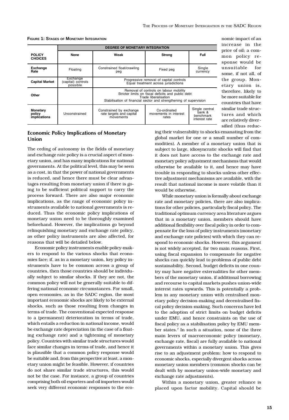nomic impact of an

sified (thus reduc-

|                                           |                                            | <b>DEGREE OF MONETARY INTEGRATION</b>                                                                                                                                                                                                                                                |                                                                                 |                                                        |  |
|-------------------------------------------|--------------------------------------------|--------------------------------------------------------------------------------------------------------------------------------------------------------------------------------------------------------------------------------------------------------------------------------------|---------------------------------------------------------------------------------|--------------------------------------------------------|--|
| <b>POLICY</b><br><b>CHOICES</b>           | <b>None</b>                                | Weak                                                                                                                                                                                                                                                                                 | <b>Strong</b>                                                                   | <b>Full</b>                                            |  |
| <b>Exchange</b><br>Rate                   | Floating                                   | Constrained float/crawling<br>peg                                                                                                                                                                                                                                                    | Fixed peg                                                                       | Single<br>currency                                     |  |
| <b>Capital Market</b>                     | Exchange<br>(capital) controls<br>possible |                                                                                                                                                                                                                                                                                      | Progressive removal of capital controls<br>Equal treatment across jurisdictions |                                                        |  |
| Other                                     |                                            | etary union is,<br>Removal of controls on labour mobility<br>therefore, likely to<br>Stricter limits on fiscal deficits and public debt<br>be more suitable for<br>Trade liberalisation<br>Stabilisation of financial sector and strengthening of supervision<br>countries that have |                                                                                 |                                                        |  |
| <b>Monetary</b><br>policy<br>implications | Unconstrained                              | Constrained by exchange<br>rate targets and capital<br>movements                                                                                                                                                                                                                     | Co-ordinated<br>movements in interest<br>rates                                  | Single central<br>bank &<br>benchmark<br>interest rate |  |

**FIGURE 1: STAGES OF MONETARY INTEGRATION**

### **Economic Policy Implications of Monetary Union**

The ceding of autonomy in the fields of monetary and exchange rate policy is a crucial aspect of monetary union, and has many implications for national governments. At the political level, this may be seen as a cost, in that the power of national governments is reduced, and hence there must be clear advantages resulting from monetary union if there is going to be sufficient political support to carry the process forward. There are also major economic implications, as the range of economic policy instruments available to national governments is reduced. Thus the economic policy implications of monetary union need to be thoroughly examined beforehand. However, the implications go beyond relinquishing monetary and exchange rate policy, as other policy instruments are also affected, for reasons that will be detailed below.

Economic policy instruments enable policy-makers to respond to the various shocks that economies face; if, as in a monetary union, key policy instruments have to be common across a group of countries, then those countries should be individually subject to similar shocks. If they are not, the common policy will not be generally suitable to differing national economic circumstances. For small, open economies, as in the SADC region, the most important economic shocks are likely to be external shocks, such as those resulting from changes in terms of trade. The conventional expected response to a (permanent) deterioration in terms of trade, which entails a reduction in national income, would be exchange rate depreciation (in the case of a floating exchange rate) and a tightening of monetary policy. Countries with similar trade structures would face similar changes in terms of trade, and hence it is plausible that a common policy response would be suitable and, from this perspective at least, a monetary union might be feasible. However, if countries do not share similar trade structures, this would not be the case. For instance, a group of countries comprising both oil exporters and oil importers would seek very different economic responses to the eco-

ing their vulnerability to shocks emanating from the global market for one or a small number of commodities). A member of a monetary union that is subject to large, idiosyncratic shocks will find that it does not have access to the exchange rate and monetary policy adjustment mechanisms that would otherwise be available to it, and hence may have trouble in responding to shocks unless other effective adjustment mechanisms are available, with the result that national income is more volatile than it would be otherwise.

While monetary union is formally about exchange rate and monetary policies, there are also implications for other policies, particularly fiscal policy. The traditional optimum currency area literature argues that in a monetary union, members should have additional flexibility over fiscal policy in order to compensate for the loss of policy instruments (monetary and exchange rate policies) with which they can respond to economic shocks. However, this argument is not widely accepted, for two main reasons. First, using fiscal expansion to compensate for negative shocks can quickly lead to problems of public debt sustainability. Second, budget deficits in one country may have negative externalities for other members of the monetary union, if additional borrowing and recourse to capital markets pushes union-wide interest rates upwards. This is potentially a problem in any monetary union with centralised monetary policy decision-making and decentralised fiscal policy decision-making. Such concerns have led to the adoption of strict limits on budget deficits under EMU, and hence constraints on the use of fiscal policy as a stabilisation policy by EMU member states.7 In such a situation, none of the three main levers of macroeconomic policy (monetary, exchange rate, fiscal) are fully available to national governments within a monetary union. This gives rise to an adjustment problem: how to respond to economic shocks, especially divergent shocks across monetary union members (common shocks can be dealt with by monetary union-wide monetary and exchange rate adjustments).

Within a monetary union, greater reliance is placed upon factor mobility. Capital should be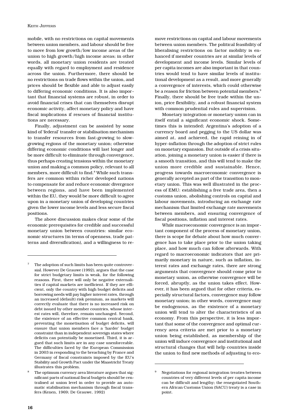mobile, with no restrictions on capital movements between union members, and labour should be free to move from low growth/low income areas of the union to high growth/high income areas; in other words, all monetary union residents are treated equally with regard to employment and residence across the union. Furthermore, there should be no restrictions on trade flows within the union, and prices should be flexible and able to adjust easily to differing economic conditions. It is also important that financial systems are robust, in order to avoid financial crises that can themselves disrupt economic activity, affect monetary policy and have fiscal implications if rescues of financial institutions are necessary.

Finally, adjustment can be assisted by some kind of 'federal' transfer or stabilisation mechanism to transfer resources from fast-growing to slowgrowing regions of the monetary union; otherwise differing economic conditions will last longer and be more difficult to eliminate through convergence, thus perhaps creating tensions within the monetary union and making a common policy, relevant to all members, more difficult to find.<sup>8</sup> While such transfers are common within richer developed nations to compensate for and reduce economic divergence between regions, and have been implemented within the EU, they would be more difficult to agree upon in a monetary union of developing countries given the lower income levels and less secure fiscal positions.

The above discussion makes clear some of the economic prerequisites for credible and successful monetary union between countries: similar economic structures (in terms of openness, trade patterns and diversification), and a willingness to re-

move restrictions on capital and labour movements between union members. The political feasibility of liberalising restrictions on factor mobility is enhanced if member countries are at similar levels of development and income levels. Similar levels of per capita incomes are also important in that countries would tend to have similar levels of institutional development as a result, and more generally a convergence of interests, which could otherwise be a reason for friction between potential members.<sup>9</sup> Finally, there should be free trade within the union, price flexibility, and a robust financial system with common prudential rules and supervision.

Monetary integration or monetary union can in itself entail a significant economic shock. Sometimes this is intended; Argentina's adoption of a currency board and pegging to the US dollar was aimed at, and achieved, the rapid reining in of hyper-inflation through the adoption of strict rules on monetary expansion. But outside of a crisis situation, joining a monetary union is easier if there is a smooth transition, and this will tend to make the union more credible and sustainable. Hence, progress towards macroeconomic convergence is generally accepted as part of the transition to monetary union. This was well illustrated in the process of EMU: establishing a free trade area, then a customs union, abolishing controls on capital and labour movements, introducing an exchange rate mechanism that limited exchange rate movements between members, and ensuring convergence of fiscal positions, inflation and interest rates.

While macroeconomic convergence is an important component of the process of monetary union, there is scope for debate about how much convergence has to take place prior to the union taking place, and how much can follow afterwards. With regard to macroeconomic indicators that are primarily monetary in nature, such as inflation, interest rates and exchange rates, there are strong arguments that convergence should come prior to monetary union, as otherwise convergence will be forced, abruptly, as the union takes effect. However, it has been argued that for other criteria, especially structural factors, convergence may follow monetary union; in other words, convergence may be endogenous, as the existence of a monetary union will tend to alter the characteristics of an economy. From this perspective, it is less important that some of the convergence and optimal currency area criteria are met prior to a monetary union being established, as membership of the union will induce convergence and institutional and structural changes that will help countries inside the union to find new methods of adjusting to eco-

The adoption of such limits has been quite controversial. However De Grauwe (1992), argues that the case for strict budgetary limits is weak, for the following reasons. First, there will only be negative externalities if capital markets are inefficient. If they are efficient, only the country with high budget deficits and borrowing needs will pay higher interest rates, through an increased (default) risk premium, as markets will correctly evaluate that there is no increased risk on debt issued by other member countries, whose interest rates will, therefore, remain unchanged. Second, the existence of an effective common central bank, preventing the monetisation of budget deficits, will ensure that union members face a 'harder' budget constraint than in independent sovereign states where deficits can potentially be monetised. Third, it is argued that such limits are in any case unenforceable. The difficulties faced by the European Commission in 2003 in responding to the breaching by France and Germany of fiscal constraints imposed by the EU's Stability and Growth Pact under the Maastricht Treaty illustrates this problem.

The optimum currency area literature argues that significant parts of national fiscal budgets should be centralised at union level in order to provide an automatic stabilisation mechanism through fiscal transfers (Kenen, 1969; De Grauwe, 1992)

<sup>9</sup> Negotiations for regional integration treaties between countries of very different levels of per capita income can be difficult and lengthy; the renegotiated Southern African Customs Union (SACU) treaty is a case in point.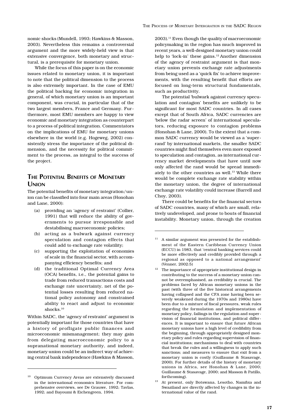nomic shocks (Mundell, 1993; Hawkins & Masson, 2003). Nevertheless this remains a controversial argument and the more widely-held view is that extensive convergence, both monetary and structural, is a prerequisite for monetary union.

While the focus of this paper is on the economic issues related to monetary union, it is important to note that the political dimension to the process is also extremely important. In the case of EMU the political backing for economic integration in general, of which monetary union is an important component, was crucial, in particular that of the two largest members, France and Germany. Furthermore, most EMU members are happy to view economic and monetary integration as counterpart to a process of political integration. Commentators on the implications of EMU for monetary unions elsewhere in the world (e.g. Hogeweg, 2002) consistently stress the importance of the political dimension, and the necessity for political commitment to the process, as integral to the success of the project.

# **THE POTENTIAL BENEFITS OF MONETARY UNION**

The potential benefits of monetary integration/union can be classified into four main areas (Honohan and Lane, 2000):

- (a) providing an 'agency of restraint' (Collier, 1991) that will reduce the ability of governments to pursue irresponsible and destabilising macroeconomic policies;
- (b) acting as a bulwark against currency speculation and contagion effects that could add to exchange rate volatility;
- (c) supporting the exploitation of economies of scale in the financial sector, with accompanying efficiency benefits; and
- (d) the traditional Optimal Currency Area (OCA) benefits, i.e., the potential gains to trade from reduced transactions costs and exchange rate uncertainty, net of the potential losses resulting from reduced national policy autonomy and constrained ability to react and adjust to economic shocks.10

Within SADC, the 'agency of restraint' argument is potentially important for those countries that have a history of profligate public finances and microeconomic mismanagement; they may gain from delegating macroeconomic policy to a supranational monetary authority, and indeed, monetary union could be an indirect way of achieving central bank independence (Hawkins & Masson,

2003).11 Even though the quality of macroeconomic policymaking in the region has much improved in recent years, a well-designed monetary union could help to 'lock-in' these gains.<sup>12</sup> Another dimension of the agency of restraint argument is that monetary union prevents exchange rate adjustments from being used as a 'quick fix' to achieve improvements, with the resulting benefit that efforts are focused on long-term structural fundamentals, such as productivity.

The potential 'bulwark against currency speculation and contagion' benefits are unlikely to be significant for most SADC countries. In all cases except that of South Africa, SADC currencies are 'below the radar screen' of international speculators, reducing exposure to contagion problems (Honohan & Lane, 2000). To the extent that a common SADC currency would be viewed as a 'superrand' by international markets, the smaller SADC countries might find themselves even more exposed to speculation and contagion, as international currency market developments that have until now only affected the rand would be spread immediately to the other countries as well.<sup>13</sup> While there would be complete exchange rate stability within the monetary union, the degree of international exchange rate volatility could increase (Barrell and Choy, 2003).

There could be benefits for the financial sectors of SADC countries, many of which are small, relatively undeveloped, and prone to bouts of financial instability. Monetary union, through the creation

- $^{\rm 12}$  The importance of appropriate institutional design in contributing to the success of a monetary union cannot be overemphasised, as credibility is crucial. The problems faced by African monetary unions in the past (with three of the five historical arrangements having collapsed and the CFA zone having been severely weakened during the 1970s and 1980s) have been due to a mixture of fiscal pressures, weak rules regarding the formulation and implementation of monetary policy, failings in the regulation and supervision of financial institutions, and political differences. It is important to ensure that future African monetary unions have a high level of credibility from the beginning, through appropriately designed monetary policy and rules regarding supervision of financial institutions; mechanisms to deal with countries that break the rules and a willingness to apply such sanctions; and measures to ensure that exit from a monetary union is costly (Guillaume & Stasavage, 2000). For further details of the history of monetary unions in Africa, see Honohan & Lane, 2000; Guillaume & Stasavage, 2000; and Masson & Patillo, forthcoming).
- <sup>13</sup> At present, only Botswana, Lesotho, Namibia and Swaziland are directly affected by changes in the international value of the rand.

<sup>10</sup> Optimum Currency Areas are extensively discussed in the international economics literature. For comprehensive overviews, see De Grauwe, 1992; Tavlas, 1992; and Bayoumi & Eichengreen, 1994.

<sup>&</sup>lt;sup>11</sup> A similar argument was presented for the establishment of the Eastern Caribbean Currency Union (ECCU) in 1983, that 'central banking services could be more effectively and credibly provided through a regional as opposed to a national arrangement' (Venner, 2002:5)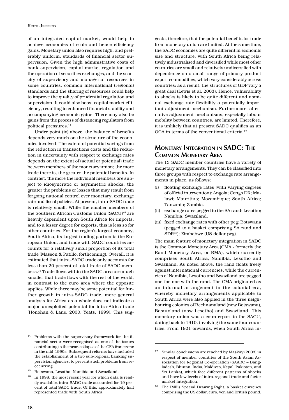of an integrated capital market, would help to achieve economies of scale and hence efficiency gains. Monetary union also requires high, and preferably uniform, standards of financial sector supervision. Given the high administrative costs of bank supervision, capital market regulation and the operation of securities exchanges, and the scarcity of supervisory and managerial resources in some countries, common international (regional) standards and the sharing of resources could help to improve the quality of prudential regulation and supervision. It could also boost capital market efficiency, resulting in enhanced financial stability and accompanying economic gains. There may also be gains from the process of distancing regulators from political pressures.14

Under point (iv) above, the balance of benefits depends very much on the structure of the economies involved. The extent of potential savings from the reduction in transactions costs and the reduction in uncertainty with respect to exchange rates depends on the extent of (actual or potential) trade between members of the monetary union; the more trade there is, the greater the potential benefits. In contrast, the more the individual members are subject to idiosyncratic or asymmetric shocks, the greater the problems or losses that may result from forgoing national control over monetary, exchange rate and fiscal policies. At present, intra-SADC trade is relatively small. While the smaller members of the Southern African Customs Union (SACU)<sup>15</sup> are heavily dependent upon South Africa for imports, and to a lesser degree for exports, this is less so for other countries. For the region's largest economy, South Africa, its largest trading partner is the European Union, and trade with SADC countries accounts for a relatively small proportion of its total trade (Masson & Patillo, forthcoming). Overall, it is estimated that intra-SADC trade only accounts for less than 20 percent of total trade of SADC members.16 Trade flows within the SADC area are much smaller that trade flows with the rest of the world, in contrast to the euro area where the opposite applies. While there may be some potential for further growth in intra-SADC trade, more general analysis for Africa as a whole does not indicate a major unexploited potential for intra-Africa trade (Honohan & Lane, 2000; Yeats, 1999). This sug-

gests, therefore, that the potential benefits for trade from monetary union are limited. At the same time, the SADC economies are quite different in economic size and structure, with South Africa being relatively industrialised and diversified while most other countries are small and relatively undiversified with dependence on a small range of primary product export commodities, which vary considerably across countries; as a result, the structures of GDP vary a great deal (Lewis et al, 2003). Hence, vulnerability to shocks is likely to be quite different and nominal exchange rate flexibility a potentially important adjustment mechanism. Furthermore, alternative adjustment mechanisms, especially labour mobility between countries, are limited. Therefore, it is unlikely that at present SADC qualifies as an OCA in terms of the conventional criteria.<sup>17</sup>

# **MONETARY INTEGRATION IN SADC: THE COMMON MONETARY AREA**

The 13 SADC member countries have a variety of monetary arrangements. They can be classified into three groups with respect to exchange rate arrangements in place, as follows:

- (i) floating exchange rates (with varying degrees of official intervention): Angola; Congo DR; Malawi; Mauritius; Mozambique; South Africa; Tanzania; Zambia.
- (ii) exchange rates pegged to the SA rand: Lesotho; Namibia; Swaziland.
- (iii) fixed exchange rates with other peg: Botswana (pegged to a basket comprising SA rand and SDR18); Zimbabwe (US dollar peg).

The main feature of monetary integration in SADC is the Common Monetary Area (CMA - formerly the Rand Monetary Area, or RMA), which currently comprises South Africa, Namibia, Lesotho and Swaziland. As noted above, the rand floats freely against international currencies, while the currencies of Namibia, Lesotho and Swaziland are pegged one-for-one with the rand. The CMA originated as an informal arrangement in the colonial era, whereby monetary arrangements applicable to South Africa were also applied in the three neighbouring colonies of Bechuanaland (now Botswana), Basutoland (now Lesotho) and Swaziland. This monetary union was a counterpart to the SACU, dating back to 1910, involving the same four countries. From 1921 onwards, when South Africa in-

<sup>14</sup> Problems with the supervisory framework for the financial sector were recognised as one of the issues contributing to the near-collapse of the CFA franc zone in the mid-1990s. Subsequent reforms have included the establishment of a two sub-regional banking supervision agencies, to prevent such problems from reoccurring.

 $^{15}\;$  Botswana, Lesotho, Namibia and Swaziland.

In 1998, the most recent year for which data is readily available, intra-SADC trade accounted for 19 percent of total SADC trade. Of this, approximately half represented trade with South Africa.

<sup>&</sup>lt;sup>17</sup> Similar conclusions are reached by Maskay (2003) in respect of member countries of the South Asian Association for Regional Co-operation (SAARC – Bangladesh, Bhutan, India, Maldives, Nepal, Pakistan, and Sri Lanka), which face different patterns of shocks and have low levels of intra-regional trade and factor market integration.

<sup>&</sup>lt;sup>18</sup> The IMF's Special Drawing Right, a basket currency comprising the US dollar, euro, yen and British pound.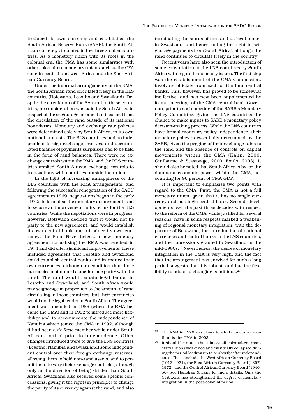troduced its own currency and established the South African Reserve Bank (SARB), the South African currency circulated in the three smaller countries. As a monetary union with its roots in the colonial era, the CMA has some similarities with other colonial-era monetary unions such as the CFA zone in central and west Africa and the East African Currency Board.

Under the informal arrangements of the RMA, the South African rand circulated freely in the BLS countries (Botswana, Lesotho and Swaziland). Despite the circulation of the SA rand in these countries, no consideration was paid by South Africa in respect of the seignorage income that it earned from the circulation of the rand outside of its national boundaries. Monetary and exchange rate policies were determined solely by South Africa, in its own national interests. The BLS countries had no independent foreign exchange reserves, and accumulated balance of payments surpluses had to be held in the form of rand balances. There were no exchange controls within the RMA, and the BLS countries applied South African exchange controls to transactions with countries outside the union.

In the light of increasing unhappiness of the BLS countries with the RMA arrangements, and following the successful renegotiation of the SACU agreement in 1969, negotiations began in the early 1970s to formalise the monetary arrangement, and to secure an improvement in its terms for the BLS countries. While the negotiations were in progress, however, Botswana decided that it would not be party to the new agreement, and would establish its own central bank and introduce its own currency, the Pula. Nevertheless, a new monetary agreement formalising the RMA was reached in 1974 and did offer significant improvements. These included agreement that Lesotho and Swaziland could establish central banks and introduce their own currencies, although on condition that those currencies maintained a one-for-one parity with the rand. The rand would remain legal tender in Lesotho and Swaziland, and South Africa would pay seignorage in proportion to the amount of rand circulating in those countries, but their currencies would not be legal tender in South Africa. The agreement was amended in 1986 (when the RMA became the CMA) and in 1992 to introduce more flexibility and to accommodate the independence of Namibia which joined the CMA in 1992, although it had been a *de facto* member while under South African control prior to independence. Other changes introduced were to give the LNS countries (Lesotho, Namibia and Swaziland) some independent control over their foreign exchange reserves, allowing them to hold non-rand assets, and to permit them to vary their exchange controls (although only in the direction of being stricter than South Africa). Swaziland also secured some specific concessions, giving it the right (in principle) to change the parity of its currency against the rand, and also

terminating the status of the rand as legal tender in Swaziland (and hence ending the right to seignorage payments from South Africa), although the rand continues to circulate freely in the country.

Recent years have also seen the introduction of some consultation of the LNS countries by South Africa with regard to monetary issues. The first step was the establishment of the CMA Commission, involving officials from each of the four central banks. This, however, has proved to be somewhat ineffective, and has now been supplemented by formal meetings of the CMA central bank Governors prior to each meeting of the SARB's Monetary Policy Committee, giving the LNS countries the chance to make inputs to SARB's monetary policy decision-making process. While the LNS countries have formal monetary policy independence, their monetary policy is essentially determined by the SARB, given the pegging of their exchange rates to the rand and the absence of controls on capital movements within the CMA (Kahn, 2000; Guillaume & Stasavage, 2000; Foulo, 2003). It should also be noted that South Africa is by far the dominant economic power within the CMA, accounting for 96 percent of CMA GDP.

It is important to emphasise two points with regard to the CMA. First, the CMA is not a full monetary union, given that it has no single currency and no single central bank. Second, developments over the past three decades with respect to the reform of the CMA, while justified for several reasons, have in some respects marked a weakening of regional monetary integration, with the departure of Botswana, the introduction of national currencies and central banks in the LNS countries, and the concessions granted to Swaziland in the mid-1980s.19 Nevertheless, the degree of monetary integration in the CMA is very high, and the fact that the arrangement has survived for such a long period suggests that it is robust, and has the flexibility to adapt to changing conditions.20

<sup>&</sup>lt;sup>19</sup> The RMA in 1970 was closer to a full monetary union than is the CMA in 2003.

<sup>20</sup> It should be noted that almost all colonial-era monetary unions weakened and eventually collapsed during the period leading up to or shortly after independence. These include the West African Currency Board (1913-1971), the East African Currency Board (1897- 1972), and the Central African Currency Board (1940- 56); see Honohan & Lane for more details. Only the CFA zone has strengthened the degree of monetary integration in the post-colonial period.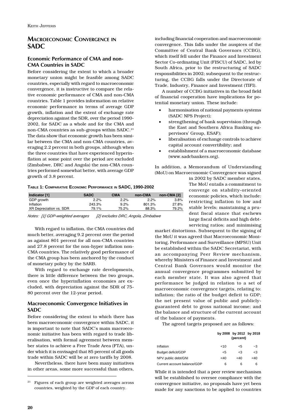# **MACROECONOMIC CONVERGENCE IN SADC**

# **Economic Performance of CMA and non-CMA Countries in SADC**

Before considering the extent to which a broader monetary union might be feasible among SADC countries, especially with regard to macroeconomic convergence, it is instructive to compare the relative economic performance of CMA and non-CMA countries. Table 1 provides information on relative economic performance in terms of average GDP growth, inflation and the extent of exchange rate depreciation against the SDR, over the period 1990- 2002, for SADC as a whole and for the CMA and non-CMA countries as sub-groups within SADC.<sup>21</sup> The data show that economic growth has been similar between the CMA and non-CMA countries, averaging 2.2 percent in both groups, although when the three countries that have experienced hyperinflation at some point over the period are excluded (Zimbabwe, DRC and Angola) the non-CMA countries performed somewhat better, with average GDP growth of 3.8 percent.

including financial cooperation and macroeconomic convergence. This falls under the auspices of the Committee of Central Bank Governors (CCBG), which itself fell under the Finance and Investment Sector Co-ordinating Unit (FISCU) of SADC, led by South Africa, prior to the restructuring of SADC responsibilities in 2002; subsequent to the restructuring, the CCBG falls under the Directorate of Trade, Industry, Finance and Investment (TIFI).

A number of CCBG initiatives in the broad field of financial cooperation have implications for potential monetary union. These include:

- harmonisation of national payments systems (SADC NPS Project);
- strengthening of bank supervision (through the East and Southern Africa Banking supervisors' Group, ESAF);
- liberalisation of exchange controls to achieve capital account convertibility; and
- establishment of a macroeconomic database (www.sadcbankers.org).

In addition, a Memorandum of Understanding (MoU) on Macroeconomic Convergence was signed

**TABLE 1: COMPARATIVE ECONOMIC PERFORMANCE IN SADC, 1990-2002**

| Indicator [1]           | <b>SADC</b> | <b>CMA</b> | non-CMA | non-CMA [2] |
|-------------------------|-------------|------------|---------|-------------|
| GDP growth              | 2.2%        | 2.2%       | 2.2%    | 3.8%        |
| Inflation               | 243.3%      | 9.2%       | 801.3%  | 27.8%       |
| XR Depreciation vs. SDR | 79.1%       | 75.2%      | 88.3%   | 79.2%       |

*Notes: [1] GDP-weighted averages [2] excludes DRC, Angola, Zimbabwe*

With regard to inflation, the CMA countries did much better, averaging 9.2 percent over the period as against 801 percent for all non-CMA countries and 27.8 percent for the non-hyper inflation non-CMA countries. The relatively good performance of the CMA group has been anchored by the conduct of monetary policy by the SARB.

With regard to exchange rate developments, there is little difference between the two groups, even once the hyperinflation economies are excluded, with depreciation against the SDR of 75- 80 percent over the 12-year period.

### **Macroeconomic Convergence Initiatives in SADC**

Before considering the extent to which there has been macroeconomic convergence within SADC, it is important to note that SADC's main macroeconomic initiative has been with regard to trade liberalisation, with formal agreement between member states to achieve a Free Trade Area (FTA), under which it is envisaged that 85 percent of all goods trade within SADC will be at zero tariffs by 2008.

Nevertheless, there have been many initiatives in other areas, some more successful than others,

in 2002 by SADC member states. The MoU entails a commitment to converge on stability-oriented economic policies, which include: restricting inflation to low and stable levels; maintaining a prudent fiscal stance that eschews large fiscal deficits and high debtservicing ratios; and minimising

market distortions. Subsequent to the signing of the MoU it was agreed that Macroeconomic Monitoring, Performance and Surveillance (MPSU) Unit be established within the SADC Secretariat, with an accompanying Peer Review mechanism, whereby Ministers of Finance and Investment and Central Bank Governors would monitor the annual convergence programmes submitted by each member state. It was also agreed that performance be judged in relation to a set of macroeconomic convergence targets, relating to: inflation; the ratio of the budget deficit to GDP; the net present value of public and publiclyguaranteed debt to gross national income; and the balance and structure of the current account of the balance of payments.

The agreed targets proposed are as follows:

|                             |        | by 2008 by 2012 by 2018<br>(percent) |        |
|-----------------------------|--------|--------------------------------------|--------|
| Inflation                   | 10<    | <5                                   | -3     |
| Budget deficit/GDP          | $<$ 5  | <3                                   | -3     |
| NPV public debt/GNI         | $<$ 40 | $<$ 40                               | $<$ 40 |
| Current account balance/GDP | 6      | 6                                    | 6      |

While it is intended that a peer review mechanism will be established to oversee compliance with the convergence initiative, no proposals have yet been made for any sanctions to be applied to countries

<sup>21</sup> Figures of each group are weighted averages across countries, weighted by the GDP of each country.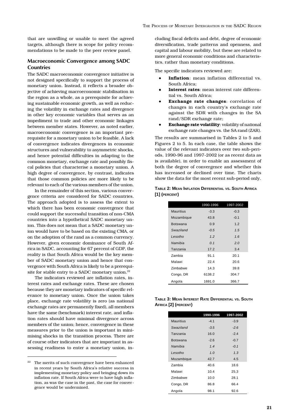that are unwilling or unable to meet the agreed targets, although there is scope for policy recommendations to be made to the peer review panel.

### **Macroeconomic Convergence among SADC Countries**

The SADC macroeconomic convergence initiative is not designed specifically to support the process of monetary union. Instead, it reflects a broader objective of achieving macroeconomic stabilisation in the region as a whole, as a prerequisite for achieving sustainable economic growth, as well as reducing the volatility in exchange rates and divergence in other key economic variables that serves as an impediment to trade and other economic linkages between member states. However, as noted earlier, macroeconomic convergence is an important prerequisite for a monetary union to be feasible. A lack of convergence indicates divergences in economic structures and vulnerability to asymmetric shocks, and hence potential difficulties in adapting to the common monetary, exchange rate and possibly fiscal policies that characterise a monetary union. A high degree of convergence, by contrast, indicates that those common policies are more likely to be relevant to each of the various members of the union.

In the remainder of this section, various convergence criteria are considered for SADC countries. The approach adopted is to assess the extent to which there has been economic convergence that could support the successful transition of non-CMA countries into a hypothetical SADC monetary union. This does not mean that a SADC monetary union would have to be based on the existing CMA, or on the adoption of the rand as a common currency. However, given economic dominance of South Africa in SADC, accounting for 67 percent of GDP, the reality is that South Africa would be the key member of SADC monetary union and hence that convergence with South Africa is likely to be a prerequisite for stable entry to a SADC monetary union.<sup>22</sup>

The indicators reviewed are inflation rates, interest rates and exchange rates. These are chosen because they are monetary indicators of specific relevance to monetary union. Once the union takes place, exchange rate volatility is zero (as national exchange rates are permanently fixed), all members have the same (benchmark) interest rate, and inflation rates should have minimal divergence across members of the union; hence, convergence in these measures prior to the union is important in minimising shocks in the transition process. There are of course other indicators that are important in assessing readiness to enter a monetary union, in-

 $22$  The merits of such convergence have been enhanced in recent years by South Africa's relative success in implementing monetary policy and bringing down its inflation rate. If South Africa were to have high inflation, as was the case in the past, the case for convergence would be undermined.

cluding fiscal deficits and debt, degree of economic diversification, trade patterns and openness, and capital and labour mobility, but these are related to more general economic conditions and characteristics, rather than monetary conditions.

The specific indicators reviewed are:

- Inflation: mean inflation differential vs. South Africa;
- **Interest rates**: mean interest rate differential vs. South Africa;
- **Exchange rate changes**: correlation of changes in each country's exchange rate against the SDR with changes in the SA rand/SDR exchange rate;
- **Exchange rate volatility:** volatility of national exchange rate changes vs. the SA rand (ZAR).

The results are summarised in Tables 2 to 5 and Figures 2 to 5. In each case, the table shows the value of the relevant indicators over two sub-periods, 1990-96 and 1997-2002 (or as recent data as is available), in order to enable an assessment of both the degree of convergence and whether this has increased or declined over time. The charts show the data for the most recent sub-period only.

**TABLE 2: MEAN INFLATION DIFFERENTIAL VS. SOUTH AFRICA [1] (PERCENT)**

|                  | 1990-1996      | 1997-2002 |
|------------------|----------------|-----------|
| <b>Mauritius</b> | $-3.3$         | $-0.3$    |
| Mozambique       | 43.8           | $-0.1$    |
| <b>Botswana</b>  | 0.9            | 1.2       |
| Swaziland        | $-0.5$         | 1.5       |
| Lesotho          | 1.2            | 1.6       |
| Namibia          | 0 <sub>1</sub> | 2.0       |
| Tanzania         | 17.2           | 3.4       |
| <b>Zambia</b>    | 91.1           | 20.1      |
| Malawi           | 224            | 20.6      |
| <b>Zimbabwe</b>  | 14.3           | 39.8      |
| Congo, DR        | 6138.2         | 304.7     |
| Angola           | 1691.0         | 366.7     |

| TABLE 3: MEAN INTEREST RATE DIFFERENTIAL VS. SOUTH |  |
|----------------------------------------------------|--|
| AFRICA [2] (PERCENT)                               |  |

|                  | 1990-1996 | 1997-2002 |
|------------------|-----------|-----------|
| <b>Mauritius</b> | $-4.1$    | $-3.9$    |
| Swaziland        | $-3.5$    | $-2.6$    |
| Tanzania         | 16.0      | $-2.4$    |
| <b>Botswana</b>  | $-2.6$    | $-0.7$    |
| Namibia          | 1.4       | $-0.1$    |
| Lesotho          | 1.0       | 1.3       |
| Mozambique       | 42.7      | 4.5       |
| Zambia           | 40.6      | 18.6      |
| Malawi           | 10.4      | 25.3      |
| Zimbabwe         | 10.0      | 28.1      |
| Congo, DR        | 86.8      | 66.4      |
| Angola           | 98.1      | 92.6      |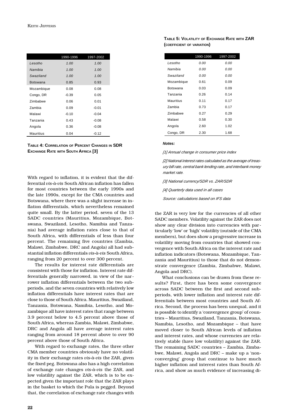|                  | 1990-1996 | 1997-2002 |
|------------------|-----------|-----------|
| I esotho         | 1.00      | 1.00      |
| Namibia          | 1.00      | 1.00      |
| Swaziland        | 1.00      | 1.00      |
| <b>Botswana</b>  | 0.85      | 0.93      |
| Mozambique       | 0.08      | 0.08      |
| Congo, DR        | $-0.39$   | 0.05      |
| <b>Zimbabwe</b>  | 0.06      | 0.01      |
| Zambia           | 0.09      | $-0.01$   |
| Malawi           | $-0.10$   | $-0.04$   |
| Tanzania         | 0.43      | $-0.08$   |
| Angola           | 0.36      | $-0.08$   |
| <b>Mauritius</b> | 0.04      | $-0.12$   |

| TABLE 4: CORRELATION OF PERCENT CHANGES IN SDR |  |
|------------------------------------------------|--|
| EXCHANGE RATE WITH SOUTH AFRICA [3]            |  |

With regard to inflation, it is evident that the differential *vis-à-vis* South African inflation has fallen for most countries between the early 1990s and the late 1990s, except for the CMA countries and Botswana, where there was a slight increase in inflation differentials, which nevertheless remained quite small. By the latter period, seven of the 13 SADC countries (Mauritius, Mozambique, Botswana, Swaziland, Lesotho, Namibia and Tanzania) had average inflation rates close to that of South Africa, with differentials of less than four percent. The remaining five countries (Zambia, Malawi, Zimbabwe, DRC and Angola) all had substantial inflation differentials *vis-à-vis* South Africa, ranging from 20 percent to over 300 percent.

The results for interest rate differentials are consistent with those for inflation. Interest rate differentials generally narrowed, in view of the narrower inflation differentials between the two subperiods, and the seven countries with relatively low inflation differentials have interest rates that are close to those of South Africa. Mauritius, Swaziland, Tanzania, Botswana, Namibia, Lesotho, and Mozambique all have interest rates that range between 3.9 percent below to 4.5 percent above those of South Africa, whereas Zambia, Malawi, Zimbabwe, DRC and Angola all have average interest rates ranging from around 18 percent above to over 90 percent above those of South Africa.

With regard to exchange rates, the three other CMA member countries obviously have no volatility in their exchange rates *vis-à-vis* the ZAR, given the fixed peg. Botswana also has a high correlation of exchange rate changes *vis-à-vis* the ZAR, and low volatility against the ZAR, which is to be expected given the important role that the ZAR plays in the basket to which the Pula is pegged. Beyond that, the correlation of exchange rate changes with

### **TABLE 5: VOLATILITY OF EXCHANGE RATE WITH ZAR (COEFFICIENT OF VARIATION)**

|                 | 1990-1996 | 1997-2002 |
|-----------------|-----------|-----------|
| I esotho        | 0.00      | 0.00      |
| Namihia         | 0.00      | 0.00      |
| Swaziland       | 0.00      | 0.00      |
| Mozambique      | 0.61      | 0.09      |
| Botswana        | 0.03      | 0.09      |
| Tanzania        | 0.26      | 0.14      |
| Mauritius       | 0.11      | 0.17      |
| Zambia          | 0.73      | 0.17      |
| <b>Zimbabwe</b> | 0.27      | 0.29      |
| Malawi          | 0.58      | 0.30      |
| Angola          | 2.60      | 1.02      |
| Congo, DR       | 2.30      | 1.68      |

#### *Notes:*

*[1] Annual change in consumer price index*

*[2] National interest rates calculated as the average of treasury bill rate, central bank lending rate, and interbank money market rate.*

*[3] National currency/SDR vs. ZAR/SDR*

*[4] Quarterly data used in all cases*

*Source: calculations based on IFS data*

the ZAR is very low for the currencies of all other SADC members. Volatility against the ZAR does not show any clear division into currencies with particularly 'low' or 'high' volatility (outside of the CMA members), but does show a progressive increase in volatility moving from countries that showed convergence with South Africa on the interest rate and inflation indicators (Botswana, Mozambique, Tanzania and Mauritius) to those that do not demonstrate convergence (Zambia, Zimbabwe, Malawi, Angola and DRC).

What conclusions can be drawn from these results? First, there has been some convergence across SADC between the first and second subperiods, with lower inflation and interest rate differentials between most countries and South Africa. Second, the process has been unequal, and it is possible to identify a 'convergence group' of countries – Mauritius, Swaziland, Tanzania, Botswana, Namibia, Lesotho, and Mozambique – that have moved closer to South African levels of inflation and interest rates, and whose currencies are relatively stable (have low volatility) against the ZAR. The remaining SADC countries – Zambia, Zimbabwe, Malawi, Angola and DRC – make up a 'nonconverging' group that continue to have much higher inflation and interest rates than South Africa, and show as much evidence of increasing di-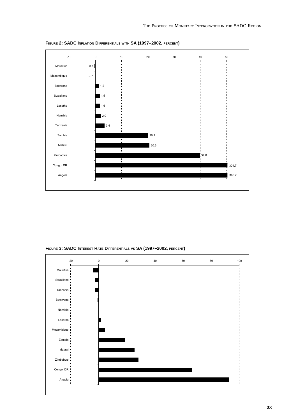

**FIGURE 2: SADC INFLATION DIFFERENTIALS WITH SA (1997–2002, PERCENT)**

**FIGURE 3: SADC INTEREST RATE DIFFERENTIALS VS SA (1997–2002, PERCENT)**

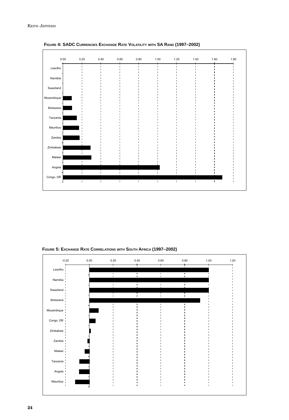

**FIGURE 4: SADC CURRENCIES EXCHANGE RATE VOLATILITY WITH SA RAND (1997–2002)**

**FIGURE 5: EXCHANGE RATE CORRELATIONS WITH SOUTH AFRICA (1997–2002)**

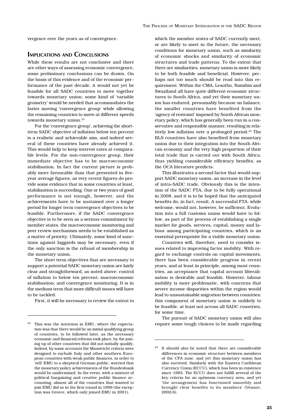vergence over the years as of convergence.

### **IMPLICATIONS AND CONCLUSIONS**

While these results are not conclusive and there are other ways of assessing economic convergence, some preliminary conclusions can be drawn. On the basis of this evidence and of the economic performance of the past decade, it would not yet be feasible for all SADC countries to move together towards monetary union; some kind of 'variable geometry' would be needed that accommodates the faster moving 'convergence group' while allowing the remaining countries to move at different speeds towards monetary union.<sup>23</sup>

For the 'convergence group', achieving the shortterm SADC objective of inflation below ten percent is a realistic and achievable aim, and indeed several of these countries have already achieved it. This would help to keep interest rates at comparable levels. For the non-convergence group, their immediate objective has to be macroeconomic stabilisation. In fact the current picture is probably more favourable than that presented in fiveyear average figures, as very recent figures do provide some evidence that in some countries at least, stabilisation is succeeding. One or two years of good performance is not enough, however, and the achievements have to be sustained over a longer period for longer term convergence objectives to be feasible. Furthermore, if the SADC convergence objective is to be seen as a serious commitment by member states, the macroeconomic monitoring and peer review mechanism needs to be established as a matter of priority. Ultimately, some kind of sanctions against laggards may be necessary, even if the only sanction is the refusal of membership in the monetary union.

The short term objectives that are necessary to support a potential SADC monetary union are fairly clear and straightforward, as noted above: control of inflation to below ten percent; macroeconomic stabilisation; and convergence monitoring. It is in the medium term that more difficult issues will have to be tackled.

First, it will be necessary to review the extent to

which the member states of SADC currently meet, or are likely to meet in the future, the necessary conditions for monetary union, such as similarity of economic shocks and similarity of economic structures and trade patterns. To the extent that there are similarities, monetary union is more likely to be both feasible and beneficial. However, perhaps not too much should be read into this requirement. Within the CMA, Lesotho, Namibia and Swaziland all have quite different economic structures to South Africa, and yet their monetary union has endured, presumably because on balance, the smaller countries have benefited from the 'agency of restraint' imposed by South African monetary policy, which has generally been run in a conservative and responsible manner, resulting in relatively low inflation over a prolonged period.<sup>24</sup> The BLS countries have also benefited from monetary union due to their integration into the South African economy and the very high proportion of their total trade that is carried out with South Africa, thus yielding considerable efficiency benefits, as the OCA literature predicts.

This illustrates a second factor that would support SADC monetary union, an increase in the level of intra-SADC trade. Obviously this is the intention of the SADC FTA, due to be fully operational in 2008, and it is to be hoped that the anticipated benefits do, in fact, result. A successful FTA, while welcome, would not, however, be sufficient. Evolution into a full customs union would have to follow, as part of the process of establishing a single market for goods, services, capital, money and labour among participating countries, which is an essential prerequisite for a viable monetary union.

Countries will, therefore, need to consider issues related to improving factor mobility. With regard to exchange controls on capital movements, there has been considerable progress in recent years, and at least in principle, among most countries, an acceptance that capital account liberalisation is desirable and feasible. However, labour mobility is more problematic, with concerns that severe income disparities within the region would lead to unsustainable migration between countries; this component of monetary union is unlikely to be feasible, at least not across all SADC countries, for some time.

The pursuit of SADC monetary union will also require some tough choices to be made regarding

 $^{23}\;$  This was the intention in EMU, where the expectation was that there would be an initial qualifying group of countries, to be followed later, as the necessary economic and financial reforms took place, by the joining up of other countries that did not initially qualify. Indeed, by some accounts the Maastricht criteria were designed to exclude Italy and other southern European countries with weak public finances, in order to 'sell' EMU to a skeptical German public, worried that the monetary policy achievements of the Bundesbank would be undermined. In the event, with a mixture of political bargaining and creative public finance accounting, almost all of the countries that wanted to join EMU did so in the first round in 1999 (the exception was Greece, which only joined EMU in 2001).

<sup>24</sup> It should also be noted that there are considerable differences in economic structure between members of the CFA zone, and yet this monetary union has also survived. Similarly with the Eastern Caribbean Currency Union (ECCU), which has been in existence since 1983. The ECCU does not fulfill several of the key criteria for an optimum currency area, and yet 'the arrangement has functioned smoothly and brought clear benefits to its members' (Venner, 2002:6).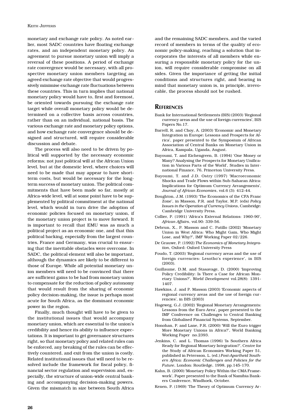monetary and exchange rate policy. As noted earlier, most SADC countries have floating exchange rates, and an independent monetary policy. An agreement to pursue monetary union will imply a reversal of these positions. A period of exchange rate convergence would be necessary, with all prospective monetary union members targeting an agreed exchange rate objective that would progressively minimise exchange rate fluctuations between these countries. This in turn implies that national monetary policy would have to, first and foremost, be oriented towards pursuing the exchange rate target while overall monetary policy would be determined on a collective basis across countries, rather than on an individual, national basis. The various exchange rate and monetary policy options, and how exchange rate convergence should be designed and structured, will require considerable discussion and debate.

The process will also need to be driven by political will supported by the necessary economic reforms; not just political will at the African Union level, but at the domestic level, where choices will need to be made that may appear to have shortterm costs, but would be necessary for the longterm success of monetary union. The political commitments that have been made so far, mostly at Africa-wide level, will at some point have to be supplemented by political commitment at the national level, which would in turn drive the adoption of economic policies focused on monetary union, if the monetary union project is to move forward. It is important to recall that EMU was as much a political project as an economic one, and that this political backing, especially from the largest countries, France and Germany, was crucial to ensuring that the inevitable obstacles were overcome. In SADC, the political element will also be important, although the dynamics are likely to be different to those of Europe. While all potential monetary union members will need to be convinced that there are sufficient gains to be had from monetary union to compensate for the reduction of policy autonomy that would result from the sharing of economic policy decision-making, the issue is perhaps most acute for South Africa, as the dominant economic power in the region.

Finally, much thought will have to be given to the institutional issues that would accompany monetary union, which are essential to the union's credibility and hence its ability to influence expectations. It is important to get governance structures right, so that monetary policy and related rules can be enforced, any breaking of the rules can be effectively countered, and exit from the union is costly. Related institutional issues that will need to be resolved include the framework for fiscal policy, financial sector regulation and supervision and, especially, the structure of union-wide central banking and accompanying decision-making powers. Given the mismatch in size between South Africa

and the remaining SADC members, and the varied record of members in terms of the quality of economic policy-making, reaching a solution that incorporates the interests of all members while ensuring a responsible monetary policy for the union, will require considerable compromise on all sides. Given the importance of getting the initial conditions and structures right, and bearing in mind that monetary union is, in principle, irrevocable, the process should not be rushed.

### **REFERENCES**

- Bank for International Settlements (BIS) (2003) 'Regional currency areas and the use of foreign currencies', BIS Papers No.17.
- Barrell, R. and Choy, A. (2003) 'Economic and Monetary Integration in Europe: Lessons and Prospects for Africa', paper presented to the Symposium of African Association of Central Banks on Monetary Union in Africa, Kampala, Uganda, August.
- Bayoumi, T. and Eichengreen, B. (1994) 'One Money or Many? Analysing the Prospects for Monetary Unification in Various Parts of the World', Studies in International Finance, 76, Princeton University Press.
- Bayoumi, T. and J.D. Ostry (1997) 'Macroeconomic Shocks and Trade Flows within Sub-Saharan Africa: Implications for Optimum Currency Arrangements', *Journal of African Economies*, vol.6 (3): 412-44.
- Boughton, J.M. (1993) 'The Economics of the CFA Franc Zone', in Masson, P.R. and Taylor, M.P. (eds) *Policy Issues in the Operation of Currency Unions*, Cambridge: Cambridge University Press.
- Collier, P. (1991) 'Africa's External Relations: 1960-90', *African Affairs*, vol.90: 339-56.
- Debrun, X., P. Masson and C. Patillo (2002) 'Monetary Union in West Africa: Who Might Gain, Who Might Lose, and Why?', IMF Working Paper 02/226.
- De Grauwe, P. (1992) *The Economics of Monetary Integration*, Oxford: Oxford University Press
- Foudo, T. (2003) 'Regional currency areas and the use of foreign currencies: Lesotho's experience', in BIS (2003).
- Guillaume, D.M. and Stasavage, D. (2000) 'Improving Policy Credibility: Is There a Case for African Monetary Unions?', *World Development* vol.28(8): 1391- 1407.
- Hawkins, J. and P. Masson (2003) 'Economic aspects of regional currency areas and the use of foreign currencies', in BIS (2003)
- Hogeweg, G.J. (2002) 'Regional Monetary Arrangements: Lessons from the Euro Area', paper presented to the IMF Conference on Challenges to Central Banking from Globalised Financial Systems, September.
- Honohan, P. and Lane, P.R. (2000) 'Will the Euro trigger More Monetary Unions in Africa?', World Banking Working Paper no.2393.
- Jenkins, C. and L. Thomas (1996) 'Is Southern Africa Ready for Regional Monetary Integration?', Centre for the Study of African Economies Working Paper 51, published in Petersson, L. (ed.) *Post-Apartheid Southern Africa: Economic Challenges and Policies for the Future*, London: Routledge, 1998, pp.145-170.
- Kahn, B. (2000) 'Monetary Policy Within the CMA Framework', Paper presented to the Bank of Namibia Bankers Conference, Windhoek, October.
- Kenen, P. (1969) 'The Theory of Optimum Currency Ar-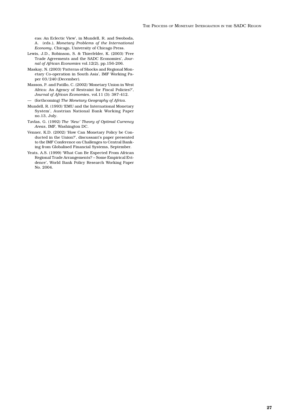eas: An Eclectic View', in Mundell, R. and Swoboda, A. (eds.), *Monetary Problems of the International Economy*, Chicago, University of Chicago Press.

- Lewis, J.D., Robinson, S. & Thierfelder, K. (2003) 'Free Trade Agreements and the SADC Economies', *Journal of African Economies* vol.12(2), pp.156-206.
- Maskay, N. (2003) 'Patterns of Shocks and Regional Monetary Co-operation in South Asia', IMF Working Paper 03/240 (December).
- Masson, P. and Patillo, C. (2002) 'Monetary Union in West Africa: An Agency of Restraint for Fiscal Policies?', *Journal of African Economies*, vol.11 (3): 387-412.
- (forthcoming) *The Monetary Geography of Africa*.
- Mundell, R. (1993) 'EMU and the International Monetary System', Austrian National Bank Working Paper no.13, July.
- Tavlas, G. (1992) *The 'New' Theory of Optimal Currency Areas*, IMF, Washington DC.
- Venner, K.D. (2002) 'How Can Monetary Policy be Conducted in the Union?', discussant's paper presented to the IMF Conference on Challenges to Central Banking from Globalised Financial Systems, September.
- Yeats, A.S. (1999) 'What Can Be Expected From African Regional Trade Arrangements? – Some Empirical Evidence', World Bank Policy Research Working Paper No. 2004.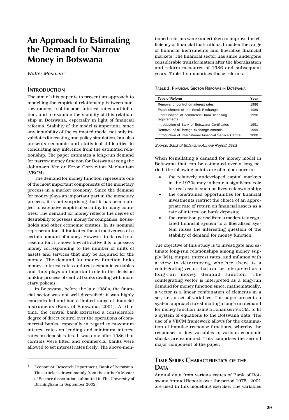# **An Approach to Estimating the Demand for Narrow Money in Botswana**

*Walter Mosweu*<sup>1</sup>

### **INTRODUCTION**

The aim of this paper is to present an approach to modelling the empirical relationship between narrow money, real income, interest rates and inflation, and to examine the stability of this relationship in Botswana, especially in light of financial reforms. Stability of the model is important, since any instability of the estimated model not only invalidates forecasting and policy simulation, but also presents economic and statistical difficulties in conducting any inference from the estimated relationship. The paper estimates a long-run demand for narrow money function for Botswana using the Johansen Vector Error Correction Mechanism (VECM).

The demand for money function represents one of the most important components of the monetary process in a market economy. Since the demand for money plays an important part in the monetary process, it is not surprising that it has been subject to extensive empirical scrutiny in many countries. The demand for money reflects the degree of desirability to possess money for companies, households and other economic entities. In its nominal representation, it indicates the attractiveness of a certain amount of money. However, in its real representation, it shows how attractive it is to possess money corresponding to the number of units of assets and services that may be acquired for the money. The demand for money function links money, interest rates and real economic variables and thus plays an important role in the decision making process of central banks dealing with monetary policies.

In Botswana, before the late 1980s, the financial sector was not well diversified; it was highly concentrated and had a limited range of financial instruments (Bank of Botswana, 2001). At that time, the central bank exercised a considerable degree of direct control over the operations of commercial banks, especially in regard to maximum interest rates on lending and minimum interest rates on deposit rates. It was only after 1986 that controls were lifted and commercial banks were allowed to set interest rates freely. The above-men-

tioned reforms were undertaken to improve the efficiency of financial institutions, broaden the range of financial instruments and liberalise financial markets. The financial sector has since undergone considerable transformation after the liberalisation and reform measures of 1986 and subsequent years. Table 1 summarises those reforms.

#### **TABLE 1. FINANCIAL SECTOR REFORMS IN BOTSWANA**

| Type of Reform                                              | Year |
|-------------------------------------------------------------|------|
| Removal of control on interest rates                        | 1986 |
| Establishment of the Stock Exchange                         | 1989 |
| Liberalisation of commercial bank licensing<br>requirements | 1990 |
| Introduction of Bank of Botswana Certificates               | 1991 |
| Removal of all foreign exchange controls                    | 1999 |
| Introduction of International Financial Service Centre      | 2000 |

*Source: Bank of Botswana Annual Report, 2001*

When formulating a demand for money model in Botswana that can be estimated over a long period, the following points are of major concern:

- the relatively undeveloped capital markets in the 1970s may indicate a significant role for real assets such as livestock ownership;
- the constrained opportunities for financial investments restrict the choice of an appropriate rate of return on financial assets as a rate of interest on bank deposits;
- the transition period from a moderately regulated financial system to a liberalised system raises the interesting question of the stability of demand for money function.

The objective of this study is to investigate and estimate long-run relationships among money supply (M1), output, interest rates, and inflation with a view to determining whether there is a cointegrating vector that can be interpreted as a long-run money demand function. The cointegrating vector is interpreted as a long-run demand for money function since, mathematically, a vector is a linear combination of elements in a set, i.e., a set of variables. The paper presents a system approach to estimating a long-run demand for money function using a Johansen VECM, to fit a system of equations to the Botswana data. The use of a VECM framework allows for the examination of impulse response functions, whereby the responses of key variables to various economic shocks are examined. This comprises the second major component of the paper.

# **TIME SERIES CHARACTERISTICS OF THE DATA**

<sup>1</sup> Economist, Research Department, Bank of Botswana. This article is drawn mainly from the author's Master of Science dissertation submitted to The University of Birmingham in September 2002.

Annual data from various issues of Bank of Botswana Annual Reports over the period 1975 - 2001 are used in this modelling exercise. The variables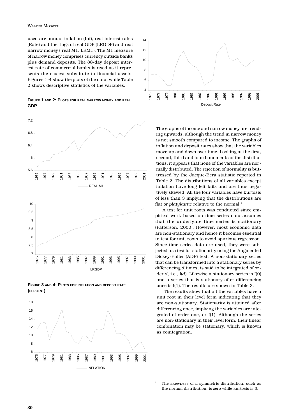used are annual inflation (Inf), real interest rates (Rate) and the logs of real GDP (LRGDP) and real narrow money ( real M1, LRM1). The M1 measure of narrow money comprises currency outside banks plus demand deposits. The 88-day deposit interest rate of commercial banks is used as it represents the closest substitute to financial assets. Figures 1-4 show the plots of the data, while Table 2 shows descriptive statistics of the variables.

**FIGURE 1 AND 2: PLOTS FOR REAL NARROW MONEY AND REAL GDP**



**FIGURE 3 AND 4: PLOTS FOR INFLATION AND DEPOSIT RATE (PERCENT)**





The graphs of income and narrow money are trending upwards, although the trend in narrow money is not smooth compared to income. The graphs of inflation and deposit rates show that the variables move up and down over time. Looking at the first, second, third and fourth moments of the distributions, it appears that none of the variables are normally distributed. The rejection of normality is buttressed by the Jacque-Bera statistic reported in Table 2. The distributions of all variables except inflation have long left tails and are thus negatively skewed. All the four variables have kurtosis of less than 3 implying that the distributions are flat or *platykurtic* relative to the normal.2

A test for unit roots was conducted since empirical work based on time series data assumes that the underlying time series is stationary (Patterson, 2000). However, most economic data are non-stationary and hence it becomes essential to test for unit roots to avoid spurious regression. Since time series data are used, they were subjected to a test for stationarity using the Augmented Dickey-Fuller (ADF) test. A non-stationary series that can be transformed into a stationary series by differencing *d* times, is said to be integrated of order *d*, i.e., I(*d*). Likewise a stationary series is I(0) and a series that is stationary after differencing once is I(1). The results are shown in Table 3.

The results show that all the variables have a unit root in their level form indicating that they are non-stationary. Stationarity is attained after differencing once, implying the variables are integrated of order one, or I(1). Although the series are non-stationary in their level form, their linear combination may be stationary, which is known as cointegration.

The skewness of a symmetric distribution, such as the normal distribution, is zero while kurtosis is 3.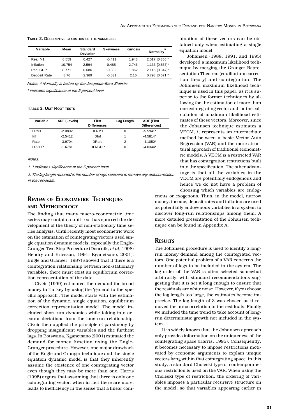**TABLE 2. DESCRIPTIVE STATISTICS OF THE VARIABLES**

| Variable     | Mean   | <b>Standard</b><br><b>Deviation</b> | <b>Skewness</b> | Kurtosis | #<br><b>Normality</b> |
|--------------|--------|-------------------------------------|-----------------|----------|-----------------------|
| Real M1      | 6.559  | 0.427                               | $-0.411$        | 1.943    | 2.017 [0.365]*        |
| Inflation    | 10.754 | 2.594                               | 0.485           | 2.746    | 1.133 [0.567]*        |
| Real GDP     | 8.771  | 0.686                               | $-0.382$        | 1.862    | 2.115 [0.347]*        |
| Deposit Rate | 8.76   | 2.369                               | $-0.031$        | 2.16     | 0.798 [0.671]*        |

*Notes: # Normalty is tested by the Jacqueue-Bera Statistic*

*\* indicates significance at the 5 percent level*

### **TABLE 3. UNIT ROOT TESTS**

| Variable | ADF (Levels) | <b>First</b><br><b>Differences</b> | Lag Length | <b>ADF (First</b><br>Differences) |
|----------|--------------|------------------------------------|------------|-----------------------------------|
| LRM1     | $-2.0802$    | DLRM1                              | 0          | $-5.5941*$                        |
| Inf      | $-2.5412$    | Dinf                               |            | $-4.5814*$                        |
| Rate     | $-3.9704$    | <b>DRate</b>                       | 2          | $-4.1050*$                        |
| LRGDP    | $-1.6781$    | <b>DLRGDP</b>                      | 0          | $-4.0344*$                        |

*Notes:*

*1. \* indicates significance at the 5 percent level.*

*2. The lag length reported is the number of lags sufficient to remove any autocorrelation in the residuals.*

# **REVIEW OF ECONOMETRIC TECHNIQUES AND METHODOLOGY**

The finding that many macro-econometric time series may contain a unit root has spurred the development of the theory of non-stationary time series analysis. Until recently most econometric work on the estimation of cointegrating vectors used single equation dynamic models, especially the Engle-Granger Two Step Procedure (Doornik, *et al*, 1998; Hendry and Ericsson, 1991; Kganetsano, 2001). Engle and Granger (1987) showed that if there is a cointegration relationship between non-stationary variables, there must exist an equilibrium correction representation of the data.

Civcir (1999) estimated the demand for broad money in Turkey by using the 'general to the specific approach'. The model starts with the estimation of the dynamic, single equation, equilibrium correction representation model. The model included short-run dynamics while taking into account deviations from the long-run relationship. Civcir then applied the principle of parsimony by dropping insignificant variables and the furthest lags. In Botswana, Kganetsano (2001) estimated the demand for money function using the Engle-Granger procedure. However, one major drawback of the Engle and Granger technique and the single equation dynamic model is that they inherently assume the existence of one cointegrating vector even though they may be more than one. Harris (1995) argues that assuming that there is only one cointegrating vector, when in fact there are more, leads to inefficiency in the sense that a linear combination of these vectors can be obtained only when estimating a single equation model.

Johansen (1988, 1991, and 1995) developed a maximum likelihood technique by merging the Granger Representation Theorem (equilibrium correction theory) and cointegration. The Johansen maximum likelihood technique is used in this paper, as it is superior to the former techniques by allowing for the estimation of more than one cointegrating vector and for the calculation of maximum likelihood estimates of these vectors. Moreover, since the Johansen technique estimates a VECM, it represents an intermediate method between a basic Vector Auto Regression (VAR) and the more structural approach of traditional econometric models. A VECM is a restricted VAR that has cointegration restrictions built into the specification. The other advantage is that all the variables in the VECM are potentially endogenous and hence we do not have a problem of choosing which variables are endog-

enous or exogenous. Thus, in the model, narrow money, income, deposit rates and inflation are used as potentially endogenous variables in a system to discover long-run relationships among them. A more detailed presentation of the Johansen technique can be found in Appendix A.

### **RESULTS**

The Johansen procedure is used to identify a longrun money demand among the cointegrated vectors. One potential problem of a VAR concerns the number of lags to be included in the system. The lag order of the VAR is often selected somewhat arbitrarily, with standard recommendations suggesting that it is set it long enough to ensure that the residuals are white noise. However, if you choose the lag length too large, the estimates become imprecise. The lag length of 3 was chosen as it removed the autocorrelation in the residuals. Finally we included the time trend to take account of longrun deterministic growth not included in the system.

It is widely known that the Johansen approach only provides information on the uniqueness of the cointegrating space (Harris, 1995). Consequently, it becomes necessary to impose restrictions motivated by economic arguments to explain unique vectors lying within that cointegrating space. In this study, a standard Choleski type of contemporaneous restriction is used on the VAR. When using the Choleski type of restriction, the ordering of variables imposes a particular recursive structure on the model, so that variables appearing earlier in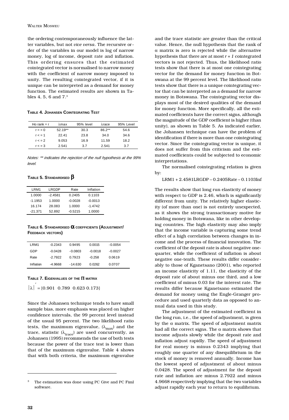the ordering contemporaneously influence the latter variables, but not *vice versa*. The recursive order of the variables in our model is log of narrow money, log of income, deposit rate and inflation. This ordering ensures that the estimated cointegrated vector is normalised to narrow money with the coefficient of narrow money imposed to unity. The resulting cointegrated vector, if it is unique can be interpreted as a demand for money function. The estimated results are shown in Tables 4, 5, 6 and 7.3

#### **TABLE 4. JOHANSEN COINTEGRATING TEST**

| Ho rank $= r$ | λmax      | 95% level | λrace    | 95% Level |
|---------------|-----------|-----------|----------|-----------|
| $r = 0$       | $52.19**$ | 30.3      | $86.2**$ | 54.6      |
| r < 1         | 22.41     | 23.8      | 34.0     | 34.6      |
| r < 2         | 9.053     | 16.9      | 11.59    | 18.2      |
| r < 3         | 2.541     | 37        | 2.541    | 3.7       |

*Notes: \*\* indicates the rejection of the null hypothesis at the 99% level.*

### **TABLE 5. STANDARDISED** β

| LRM1      | LRGDP     | Rate      | Inflation |
|-----------|-----------|-----------|-----------|
| 1.0000    | $-2.4581$ | 0.2405    | 0.1103    |
| $-1.1953$ | 1.0000    | $-0.0028$ | $-0.0013$ |
| 16.174    | 28.083    | 1.0000    | $-1.4742$ |
| $-21.371$ | 52.892    | $-0.5215$ | 1.0000    |

**TABLE 6. STANDARDISED** α **COEFFICIENTS (ADJUSTMENT/ FEEDBACK VECTORS)**

| I RM1     | $-0.2343$ | 0.9495    | 0.0015    | -0.0054   |  |
|-----------|-----------|-----------|-----------|-----------|--|
| GDP       | $-0.0428$ | -0.0803   | $-0.0018$ | $-0.0027$ |  |
| Rate      | $-2.7922$ | 0.7923    | $-0.258$  | 0.0619    |  |
| Inflation | -4.9668   | $-14.630$ | 0 0262    | 0.0707    |  |

### **TABLE 7. EIGENVALUES OF THE** Π **MATRIX**

 $|\lambda|^{2}$  = [0.901 0.789 0.623 0.173]

Since the Johansen technique tends to have small sample bias, more emphasis was placed on higher confidence intervals, the 99 percent level instead of the usual 95 percent. The two likelihood ratio tests, the maximum eigenvalue,  $(\lambda_{\text{max}})$  and the trace, statistic  $(\lambda_{\text{trace}})$  are used concurrently, as Johansen (1995) recommends the use of both tests because the power of the trace test is lower than that of the maximum eigenvalue. Table 4 shows that with both criteria, the maximum eigenvalue

and the trace statistic are greater than the critical value. Hence, the null hypothesis that the rank of α matrix is zero is rejected while the alternative hypothesis that there are at most *r + 1* cointegrated vectors is not rejected. Thus, the likelihood ratio tests show that there is at most one cointegrating vector for the demand for money function in Botswana at the 99 percent level. The likelihood ratio tests show that there is a unique cointegrating vector that can be interpreted as a demand for narrow money in Botswana. The cointegrating vector displays most of the desired qualities of the demand for money function. More specifically, all the estimated coefficients have the correct signs, although the magnitude of the GDP coefficient is higher (than unity), as shown in Table 5. As indicated earlier, the Johansen technique can have the problem of identification if there is more than one cointegrating vector. Since the cointegrating vector is unique, it does not suffer from this criticism and the estimated coefficients could be subjected to economic interpretations.

The normalised cointegrating relation is given by:

LRM1 + 2.4581LRGDP – 0.2405Rate – 0.1103Inf

The results show that long run elasticity of money with respect to GDP is 2.46, which is significantly different from unity. The relatively higher elasticity (of more than one) is not entirely unexpected, as it shows the strong transactionary motive for holding money in Botswana, like in other developing countries. The high elasticity may also imply that the income variable is capturing some trend effect of a high correlation between changes in income and the process of financial innovation. The coefficient of the deposit rate is about negative onequarter, while the coefficient of inflation is about negative one-tenth. These results differ considerably to those of Kganetsano (2001), who reported an income elasticity of 1.11, the elasticity of the deposit rate of about minus one third, and a low coefficient of minus 0.03 for the interest rate. The results differ because Kganetsano estimated the demand for money using the Engle-Granger procedure and used quarterly data as opposed to annual data used in this study.

The adjustment of the estimated coefficient in the long run, i.e., the speed of adjustment, is given by the  $\alpha$  matrix. The speed of adjustment matrix had all the correct signs. The  $\alpha$  matrix shows that income adjusts slowly while the deposit rate and inflation adjust rapidly. The speed of adjustment for real money is minus 0.2343 implying that roughly one quarter of any disequilibrium in the stock of money is removed annually. Income has the lowest speed of adjustment of about minus 0.0428. The speed of adjustment for the deposit rate and inflation are minus 2.7922 and minus 4.9668 respectively implying that the two variables adjust rapidly each year to return to equilibrium.

<sup>&</sup>lt;sup>3</sup> The estimation was done using PC Give and PC Fiml software.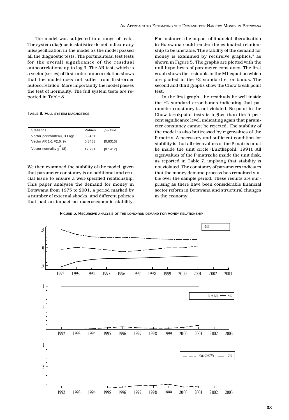The model was subjected to a range of tests. The system diagnostic statistics do not indicate any misspecification in the model as the model passed all the diagnostic tests. The portmanteau test tests for the overall significance of the residual autocorrelations up to lag 3. The AR test, which is a vector (series) of first-order autocorrelation shows that the model does not suffer from first-order autocorrelation. More importantly the model passes the test of normality. The full system tests are reported in Table 8.

#### **TABLE 8. FULL SYSTEM DIAGNOSTICS**

| <b>Statistics</b>           | Values | <i>p</i> -value |
|-----------------------------|--------|-----------------|
| Vector portmanteau, 3 Lags  | 53.451 |                 |
| Vector AR 1-1 F(16, 9)      | 0.8458 | [0.6316]        |
| Vector normality $\chi$ (8) | 12 231 | [0.1412]        |

We then examined the stability of the model, given that parameter constancy is an additional and crucial issue to ensure a well-specified relationship. This paper analyses the demand for money in Botswana from 1975 to 2001, a period marked by a number of external shocks, and different policies that had an impact on macroeconomic stability.

For instance, the impact of financial liberalisation in Botswana could render the estimated relationship to be unstable. The stability of the demand for money is examined by recursive graphics,<sup>4</sup> as shown in Figure 5. The graphs are plotted with the null hypothesis of parameter constancy. The first graph shows the residuals in the M1 equation which are plotted in the ±2 standard error bands. The second and third graphs show the Chow break point test.

In the first graph, the residuals lie well inside the ±2 standard error bands indicating that parameter constancy is not violated. No point in the Chow breakpoint tests is higher than the 5 percent significance level, indicating again that parameter constancy cannot be rejected. The stability of the model is also buttressed by eigenvalues of the P matrix. A necessary and sufficient condition for stability is that all eigenvalues of the P matrix must lie inside the unit circle (Lüktkepohl, 1991). All eigenvalues of the P matrix lie inside the unit disk, as reported in Table 7, implying that stability is not violated. The constancy of parameters indicates that the money demand process has remained stable over the sample period. These results are surprising as there have been considerable financial sector reform in Botswana and structural changes in the economy.



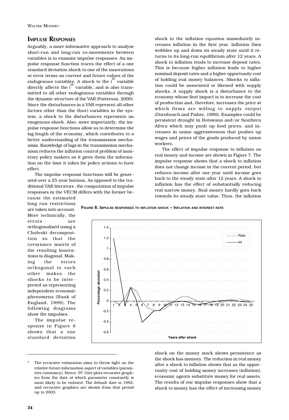# **IMPULSE RESPONSES**

Arguably, a more informative approach to analyse short-run and long-run co-movements between variables is to examine impulse responses. An impulse response function traces the effect of a one standard deviation shock to one of the innovations or error terms on current and future values of the endogenous variables. A shock to the *i th* variable directly affects the  $i^{\text{th}}$  variable, and is also transmitted to all other endogenous variables through the dynamic structure of the VAR (Patterson, 2000). Since the disturbances in a VAR represent all other factors other than the (four) variables in the system, a shock to the disturbances represents an exogenous shock. Also, more importantly, the impulse response functions allow us to determine the lag length of the economy, which contributes to a better understanding of the transmission mechanism. Knowledge of lags in the transmission mechanism reduces the inflation control problem of monetary policy makers as it gives them the information on the time it takes for policy actions to have effect.

The impulse response functions will be generated over a 25-year horizon. As opposed to the traditional VAR literature, the computation of impulse responses in the VECM differs with the former beshock to the inflation equation immediately increases inflation in the first year. Inflation then wobbles up and down its steady state until it returns to its long-run equilibrium after 12 years. A shock to inflation tends to increase deposit rates. This is because higher inflation leads to higher nominal deposit rates and a higher opportunity cost of holding real money balances. Shocks to inflation could be associated or likened with supply shocks. A supply shock is a disturbance to the economy whose first impact is to increase the cost of production and, therefore, increases the price at which firms are willing to supply output (Dornbusch and Fisher, 1990). Examples could be persistent drought in Botswana and/or Southern Africa which may push up food prices, and increases in union aggressiveness that pushes up wages and prices of the goods produced by union workers.

The effect of impulse response to inflation on real money and income are shown in Figure 7. The impulse response shows that a shock to inflation does not change income in the current period, but reduces income after one year until income goes back to the steady state after 12 years. A shock to inflation has the effect of substantially reducing real narrow money. Real money hardly goes back towards its steady state value. Thus, the inflation

cause the estimated long run restrictions are taken into account. More technically, the errors are orthogonalised using a Choleski decomposition so that the covariance matrix of the resulting innovations is diagonal. Making the errors orthogonal to each other makes the shocks to be interpreted as representing independent economic phenomena (Bank of England, 1999). The following diagrams show the impulses.

The impulse response in Figure 6 shows that a one standard deviation





The recursive estimation aims to throw light on the relative future information aspect of variables (parameter constancy). Hence, PC Give plots recursive graphics from the date at which parameter constantly is most likely to be violated. The default date is 1992, and recursive graphics are shown from that period up to 2003.

shock on the money stock shows persistence as the shock has memory. The reduction in real money after a shock to inflation shows that as the opportunity cost of holding money increases (inflation), economic agents substitute money for real assets. The results of our impulse responses show that a shock to money has the effect of increasing money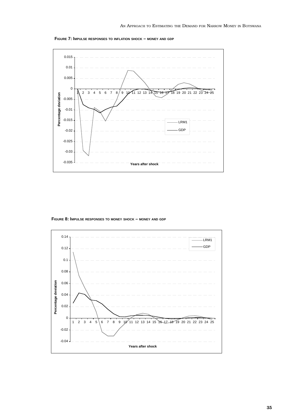**FIGURE 7: IMPULSE RESPONSES TO INFLATION SHOCK – MONEY AND GDP**



**FIGURE 8: IMPULSE RESPONSES TO MONEY SHOCK – MONEY AND GDP**

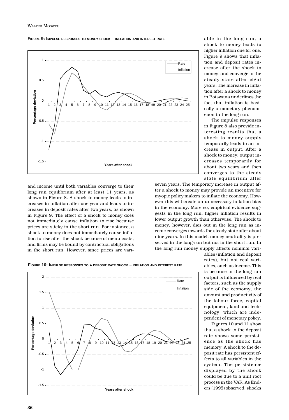**FIGURE 9: IMPULSE RESPONSES TO MONEY SHOCK – INFLATION AND INTEREST RATE**



and income until both variables converge to their long run equilibrium after at least 11 years, as shown in Figure 8. A shock to money leads to increases in inflation after one year and leads to increases in deposit rates after two years, as shown in Figure 9. The effect of a shock to money does not immediately cause inflation to rise because prices are sticky in the short run. For instance, a shock to money does not immediately cause inflation to rise after the shock because of menu costs, and firms may be bound by contractual obligations in the short run. However, since prices are variable in the long run, a shock to money leads to higher inflation one for one. Figure 9 shows that inflation and deposit rates increase after the shock to money, and converge to the steady state after eight years. The increase in inflation after a shock to money in Botswana underlines the fact that inflation is basically a monetary phenomenon in the long run.

The impulse responses in Figure 8 also provide interesting results that a shock to money supply temporarily leads to an increase in output. After a shock to money, output increases temporarily for about two years and then converges to the steady state equilibrium after

seven years. The temporary increase in output after a shock to money may provide an incentive for myopic policy makers to inflate the economy. However this will create an unnecessary inflation bias in the economy. More so, empirical evidence suggests in the long run, higher inflation results in lower output growth than otherwise. The shock to money, however, dies out in the long run as income converges towards the steady state after about nine years. In this model, money neutrality is preserved in the long-run but not in the short run. In the long run money supply affects nominal vari-



**FIGURE 10: IMPULSE RESPONSES TO A DEPOSIT RATE SHOCK – INFLATION AND INTEREST RATE**

rates), but not real variables, such as income. This is because in the long run output is influenced by real factors, such as the supply side of the economy, the amount and productivity of the labour force, capital equipment, land and technology, which are independent of monetary policy.

ables (inflation and deposit

Figures 10 and 11 show that a shock to the deposit rate shows some persistence as the shock has memory. A shock to the deposit rate has persistent effects to all variables in the system. The persistence displayed by the shock could be due to a unit root process in the VAR. As Enders (1995) observed, shocks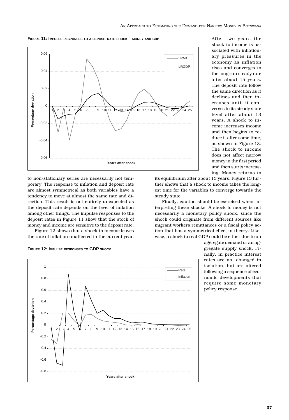



to non-stationary series are necessarily not temporary. The response to inflation and deposit rate are almost symmetrical as both variables have a tendency to move at almost the same rate and direction. This result is not entirely unexpected as the deposit rate depends on the level of inflation among other things. The impulse responses to the deposit rates in Figure 11 show that the stock of money and income are sensitive to the deposit rate.

Figure 12 shows that a shock to income leaves the rate of inflation unaffected in the current year.

**FIGURE 12: IMPULSE RESPONSES TO GDP SHOCK**



After two years the shock to income is associated with inflationary pressures in the economy as inflation rises and converges to the long run steady rate after about 15 years. The deposit rate follow the same direction as it declines and then increases until it converges to its steady state level after about 13 years. A shock to income increases income and then begins to reduce it after some time, as shown in Figure 13. The shock to income does not affect narrow money in the first period and then starts increasing. Money returns to

its equilibrium after about 13 years. Figure 13 further shows that a shock to income takes the longest time for the variables to converge towards the steady state.

Finally, caution should be exercised when interpreting these shocks. A shock to money is not necessarily a monetary policy shock, since the shock could originate from different sources like migrant workers remittances or a fiscal policy action that has a symmetrical effect in theory. Likewise, a shock to real GDP could be either due to an

> aggregate demand or an aggregate supply shock. Finally, in practice interest rates are not changed in isolation, but are altered following a sequence of economic developments that require some monetary policy response.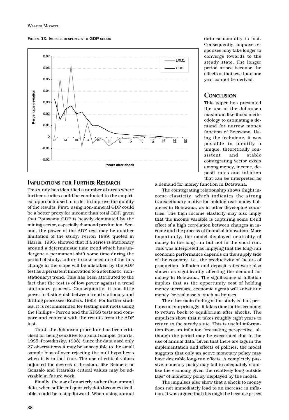**FIGURE 13: IMPULSE RESPONSES TO GDP SHOCK**



# **IMPLICATIONS FOR FURTHER RESEARCH**

This study has identified a number of areas where further studies could be conducted to the empirical approach used in order to improve the quality of the results. First, using non-mineral GDP could be a better proxy for income than total GDP, given that Botswana GDP is heavily dominated by the mining sector, especially diamond production. Second, the power of the ADF test may be another limitation of the study. Perron 1989, quoted in Harris, 1995, showed that if a series is stationary around a deterministic time trend which has undergone a permanent shift some time during the period of study, failure to take account of the this change in the slope will be mistaken by the ADF test as a persistent innovation to a stochastic (nonstationary) trend. This has been attributed to the fact that the test is of low power against a trend stationary process. Consequently, it has little power to distinguish between trend stationary and drifting processes (Enders, 1995). For further studies, it is recommended for testing unit roots using the Phillips - Perron and the KPSS tests and compare and contrast with the results from the ADF test.

Third, the Johansen procedure has been criticised for being sensitive to a small sample, (Harris, 1995; Providinsky, 1998). Since the data used only 27 observations it may be susceptible to the small sample bias of over-rejecting the null hypothesis when it is in fact true. The use of critical values adjusted for degrees of freedom, like Reimers or Gonzalo and Pitarakis critical values may be advisable in future work.

Finally, the use of quarterly rather than annual data, when sufficient quarterly data becomes available, could be a step forward. When using annual

data seasonality is lost. Consequently, impulse responses may take longer to converge towards to the steady state. The longer period arises because the effects of that less than one year cannot be derived.

# **CONCLUSION**

This paper has presented the use of the Johansen maximum likelihood methodology to estimating a demand for narrow money function of Botswana. Using the technique, it was possible to identify a unique, theoretically consistent and stable cointegrating vector exists among money, income, deposit rates and inflation that can be interpreted as

a demand for money function in Botswana.

The cointegrating relationship shows (high) income elasticity, which indicates the strong transactionary motive for holding real money balances in Botswana, as in other developing countries. The high income elasticity may also imply that the income variable is capturing some trend effect of a high correlation between changes in income and the process of financial innovation. More importantly, the model displayed neutrality of money in the long run but not in the short run. This was interpreted as implying that the long-run economic performance depends on the supply side of the economy. i.e., the productivity of factors of production. Inflation and deposit rates were also shown as significantly affecting the demand for money in Botswana. The significance of inflation implies that as the opportunity cost of holding money increases, economic agents will substitute money for real assets, such as houses.

The other main finding of the study is that, perhaps not surprisingly, it takes time for the economy to return back to equilibrium after shocks. The impulses show that it takes roughly eight years to return to the steady state. This is useful information from an inflation forecasting perspective, although the period may be exegerated due to the use of annual data. Given that there are lags in the implementation and effects of policies, the model suggests that only an active monetary policy may have desirable long-run effects. A completely passive monetary policy may fail to adequately stabilise the economy given the relatively long outside lags<sup>5</sup> of monetary policy displayed by the model.

The impulses also show that a shock to money does not immediately lead to an increase in inflation. It was argued that this might be because prices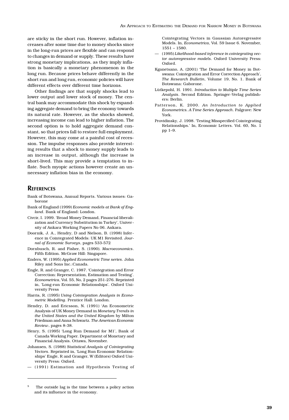are sticky in the short run. However, inflation increases after some time due to money shocks since in the long-run prices are flexible and can respond to changes in demand or supply. These results have strong monetary implications, as they imply inflation is basically a monetary phenomenon in the long run. Because prices behave differently in the short run and long run, economic policies will have different effects over different time horizons.

Other findings are that supply shocks lead to lower output and lower stock of money. The central bank may accommodate this shock by expanding aggregate demand to bring the economy towards its natural rate. However, as the shocks showed, increasing income can lead to higher inflation. The second option is to hold aggregate demand constant, so that prices fall to restore full employment. However, this may come at a painful cost of recession. The impulse responses also provide interesting results that a shock to money supply leads to an increase in output, although the increase is short-lived. This may provide a temptation to inflate. Such myopic actions however create an unnecessary inflation bias in the economy.

### **REFERENCES**

- Bank of Botswana, Annual Reports. Various issues: Gaborone
- Bank of England (1999) *Economic models at Bank of England*. Bank of England: London.
- Civcir, I. 1999. 'Broad Money Demand, Financial liberalization and Currency Substitution in Turkey', University of Ankara Working Papers No 06. Ankara.
- Doornik, J. A., Hendry, D and Nielson, B. (1998) Inference in Cointegrated Models: UK M1 Revisited. *Journal of Economic Surveys*, pages 533-572
- Dornbusch, R. and Fisher, S. (1990). *Macroeconomics*. Fifth Edition. McGraw Hill: Singapore.
- Enders, W. (1995) *Applied Econometric Time series*. John Riley and Sons Inc.:Canada.
- Engle, R. and Granger, C. 1987. 'Cointegration and Error Correction: Representation, Estimation and Testing'. *Econometrica*, Vol. 55, No, 2 pages 251-276. Reprinted in, 'Long-run Economic Relationships'. Oxford University Press
- Harris, R. (1995) *Using Cointegration Analysis in Econometric Modelling*. Prentice Hall: London.
- Hendry, D. and Ericsson, N. (1991) 'An Econometric Analysis of UK Money Demand in *Monetary Trends in the United States and the United Kingdom* by Milton Friedman and Anna Schwartz. *The American Economic Review*, pages 8-38.
- Henry, S. (1995) 'Long Run Demand for M1', Bank of Canada Working Paper. Department of Monetary and Financial Analysis. Ottawa, November.
- Johansen, S. (1988) *Statistical Analysis of Cointegrating Vectors*. Reprinted in, 'Long Run Economic Relationships' Engle, R and Granger, W (Editors) Oxford University Press: Oxford.
- (1991) Estimation and Hypothesis Testing of

Cointegrating Vectors in Gaussian Autoregressive Models. In, *Econometrica*, Vol. 59 Issue 6. November, 1551 – 1580.

- (1995) *Likelihood-based inference in cointegrating vector autoregressive models*. Oxford University Press: Oxford.
- Kganetsano, A. (2001) 'The Demand for Money in Botswana: Cointegration and Error Correction Approach', *The Research Bulletin*, Volume 19, No. 1. Bank of Botswana: Gaborone.
- Lütkepohl, H. 1991. *Introduction to Multiple Time Series Analysis*. Second Edition. Springer-Verlag publishers: Berlin.
- Patterson, K. 2000. *An Introduction to Applied Econometrics. A Time Series Approach*. Palgrave: New York.
- Providinsky, J. 1998. 'Testing Misspecified Cointegrating Relationships.' In, Economic Letters. Vol. 60, No. 1 pp 1–9.

The outside lag is the time between a policy action and its influence in the economy.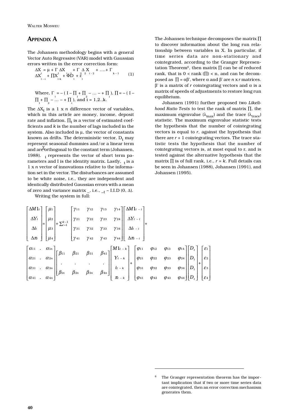# **APPENDIX A**

The Johansen methodology begins with a general Vector Auto Regressive (VAR) model with Gaussian errors written in the error correction form:

$$
\Delta X = \mu + \Gamma \Delta X + \Gamma \Delta X + \Gamma \Delta X + \cdots + \Gamma
$$
  

$$
\Delta X_{t-1}^{t} + \Pi X_{t-k}^{1} + \overline{\Phi} \mathbf{D}_{t} + \epsilon_{t}^{2} + \cdots + \epsilon_{t}^{2} \tag{1}
$$

Where, 
$$
\Gamma = -(I - \Pi + \Pi_2 - ... - + \Pi_1), \Pi = -(I - \Pi_1 + \Pi_2 - ... - + \Pi_1),
$$
 and  $i = 1, 2, k$ .

The  $\Delta X_t$  is a 1 x *n* difference vector of variables, which in this article are money, income, deposit rate and inflation.  $\Pi_t$  is a vector of estimated coefficients and *k* is the number of lags included in the system. Also included is  $\mu$ , the vector of constants known as drifts. The deterministic vector,  $D_t$  may represent seasonal dummies and/or a linear term and are orthogonal to the constant term (Johansen, 1988).  $\frac{1}{1}$  represents the vector of short term parameters and I is the identity matrix. Lastly,  $\frac{1}{1}$  is a 1 x *n* vector of innovations relative to the information set in the vector. The disturbances are assumed to be white noise, i.e., they are independent and identically distributed Gaussian errors with a mean of zero and variance matrix \_, i.e., \_t ~ I.I.D (0,  $\Delta$ ).

Writing the system in full:

The Johansen technique decomposes the matrix ∏ to discover information about the long run relationship between variables in X. In particular, if time series data are non-stationary and cointegrated, according to the Granger Representation Theorem<sup>6</sup>, then matrix  $\Pi$  can be of reduced rank, that is  $0 <$  rank ( $\Pi$ ) < n, and can be decomposed as  $\Pi = \alpha \beta'$ , where  $\alpha$  and  $\beta'$  are *n* x *r* matrices.  $β'$  is a matrix of *r* cointegrating vectors and  $α$  is a matrix of speeds of adjustments to restore long run equilibrium.

Johansen (1991) further proposed two *Likelihood Ratio Tests* to test the rank of matrix ∏, the maximum eigenvalue ( $\lambda_{\text{max}}$ ) and the trace ( $\lambda_{\text{trace}}$ ) statistic. The maximum eigenvalue statistic tests the hypothesis that the number of cointegrating vectors is equal to *r*, against the hypothesis that there are  $r + 1$  cointegrating vectors. The trace statistic tests the hypothesis that the number of cointegrating vectors is, at most equal to r, and is tested against the alternative hypothesis that the matrix  $\prod$  is of full rank, i.e.,  $r = k$ . Full details can be seen in Johansen (1988), Johansen (1991), and Johansen (1995).

|  |  |  |  | $\begin{bmatrix} \Delta M1_t \\ \Delta Y_t \\ \Delta t_t \\ \Delta \pi_t \end{bmatrix} = \begin{bmatrix} \mu_1 \\ \mu_2 \\ \mu_3 \\ \mu_4 \end{bmatrix} + \sum_{k=1}^{k-1} \begin{bmatrix} \gamma_{11} & \gamma_{12} & \gamma_{13} & \gamma_{14} \\ \gamma_{21} & \gamma_{22} & \gamma_{23} & \gamma_{24} \\ \gamma_{31} & \gamma_{32} & \gamma_{33} & \gamma_{34} \\ \gamma_{41} & \gamma_{42} & \gamma_{43} & \gamma_{44} \end{bmatrix} \begin{bmatrix} \Delta M1_{t-t} \\ \Delta Y_{$ |  |  |  |
|--|--|--|--|------------------------------------------------------------------------------------------------------------------------------------------------------------------------------------------------------------------------------------------------------------------------------------------------------------------------------------------------------------------------------------------------------------------------------------------------------------------------------------------|--|--|--|
|  |  |  |  |                                                                                                                                                                                                                                                                                                                                                                                                                                                                                          |  |  |  |
|  |  |  |  |                                                                                                                                                                                                                                                                                                                                                                                                                                                                                          |  |  |  |
|  |  |  |  | $\begin{bmatrix} \alpha_{11} & \alpha_{1n} \\ \alpha_{21} & \alpha_{2n} \\ \alpha_{31} & \alpha_{3n} \\ \alpha_{41} & \alpha_{4n} \end{bmatrix} \begin{bmatrix} \beta_{11} & \beta_{21} & \beta_{31} & \beta_{41} \\ \cdot & \cdot & \cdot \\ \beta_{1n} & \beta_{2n} & \beta_{3n} \\ \end{bmatrix} \begin{bmatrix} M1_{t-k} \\ Y_{t-k} \\ \cdot \\ \cdot \\ \pi_{t-k} \end{bmatrix} + \begin{bmatrix} \varphi_{11} & \varphi_{12} & \varphi_{13} & \varphi_{14} \\ \varphi_{21}$        |  |  |  |
|  |  |  |  |                                                                                                                                                                                                                                                                                                                                                                                                                                                                                          |  |  |  |
|  |  |  |  |                                                                                                                                                                                                                                                                                                                                                                                                                                                                                          |  |  |  |
|  |  |  |  |                                                                                                                                                                                                                                                                                                                                                                                                                                                                                          |  |  |  |

The Granger representation theorem has the important implication that if two or more time series data are cointegrated, then an error correction mechanism generates them.